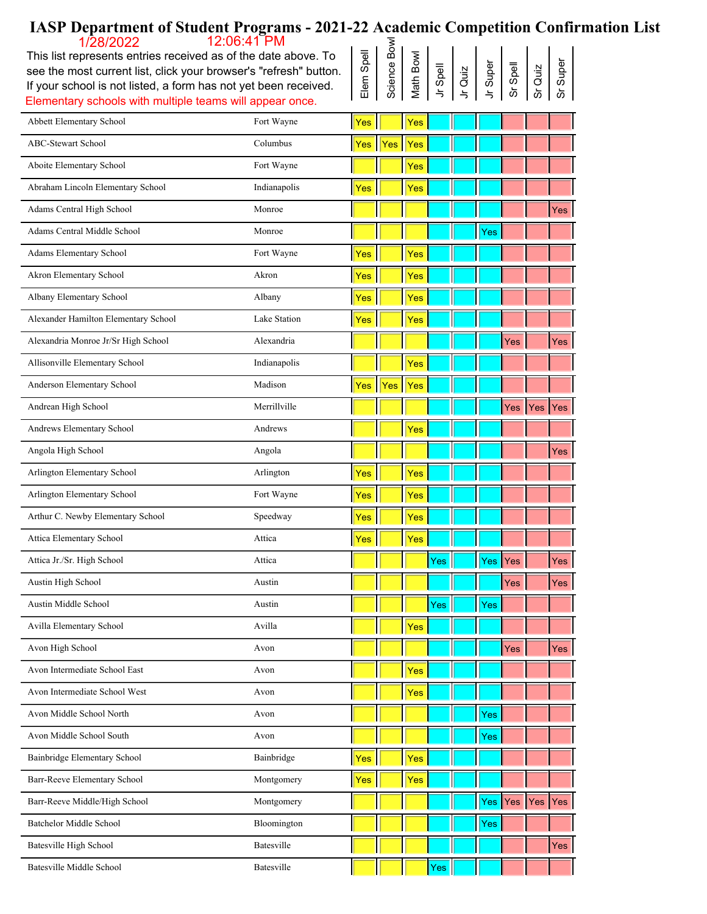### Elem Spell<br>
Science Bowl<br>
Math Bowl<br>
Jr Super Sr Spell<br>
Jr Super<br>
Sr Super<br>
Sr Super<br>
Sr Super see the most current list, click your browser's "refresh" button. If your school is not listed, a form has not yet been received. Elementary schools with multiple teams will appear once. Jr Quiz Abbett Elementary School **Fort Wayne Yes** Yes Yes Yes Yes ABC-Stewart School Columbus Columbus Yes Yes Yes Aboite Elementary School **Fort Wayne** Fort Wayne **The Res** Abraham Lincoln Elementary School Indianapolis Ves Yes Yes Adams Central High School Monroe Monroe New York Holl Ness Adams Central Middle School Monroe Network Monroe Network and Network and Network of Network and Network and Ne Adams Elementary School **Fort Wayne** Fort Wayne **Yes** Yes Akron Elementary School **Akron** Akron **Yes Yes Yes Yes** Akron **Yes** Yes Albany Elementary School **Albany** Albany **Yes Yes Yes** Alexander Hamilton Elementary School Lake Station **Yes Yes Yes** Alexandria Monroe Jr/Sr High School Alexandria Yes Yes Allisonville Elementary School **Indianapolis** Indianapolis **Ves** Anderson Elementary School Madison Madison Ves Yes Yes Andrean High School Merrillville **Network Inc.** Merrillville **The Contract of School** Yes Yes Andrews Elementary School **Andrews** Andrews **The School** Andrews **The School** Andrews **Yes** Angola High School **Angola** Angola Angola **Angola Yes** Angola Angola Angola Angola Angola Angola Angola Angola Angola Angola Angola Angola Angola Angola Angola Angola Angola Ang ang mga managasay na ang ang ang ang ang ang Arlington Elementary School **Arlington** Arlington **Arlington Yes** Yes Arlington Elementary School **Fort Wayne** Fort Wayne **Yes** Yes Arthur C. Newby Elementary School Speedway Speedway  $Yes$ Attica Elementary School **Attica** Attica **Yes** Yes Yes Yes Attica Jr./Sr. High School Attica Yes Yes Yes Yes Austin High School **Austin Austin** Austin **Austin Austin Austin Austin Austin Austin Austin Austin Austin Austin Austin Austin Austin Austin Austin Austin Austin Austin Austin Austin** Austin Middle School Austin Yes Yes Avilla Elementary School **Avilla** Avilla Avilla **Avilla** Avilla Avilla Avilla Avilla Avilla Avilla Avilla Avilla Avilla Avilla Avilla Avilla Avilla Avilla Avilla Avilla Avilla Avilla Avilla Avilla Avilla Avilla Avilla Avil Avon High School **Avon** Avon Avon **Avon** Avon **Avon** Avon **Avon** Avon **Avon** Avon **Avon** Avon **Avon** Avon **Avon** Avon **Avon** Avon **Avon** Avon **Avon** Avon **Avon** Avon Avon **Avon** Avon **Avon** Avon **Avon** Avon Avon Avon Avon Avon Intermediate School East **Avon** Avon **Avon Avon Yes** Avon Intermediate School West Avon Avon Avon Research Avon Research Avon Research New Yes Avon Middle School North **Avon** Avon Avon **Widdle School North** Avon Avon **Yes** Avon Middle School South **Avon** Avon **Avon** Avon **Yes** Bainbridge Elementary School Bainbridge Nesslight Reserves Bainbridge Nesslight Nesslight Res Barr-Reeve Elementary School Montgomery Montgomery Yes Yes Yes Barr-Reeve Middle/High School Montgomery **Notes** Montgomery **Wester Access** Yes Yes Yes Yes Yes Batchelor Middle School Bloomington Bloomington **Property Associated Test Accord Property** Pres Batesville High School **Batesville** Batesville **Batesville Fight Containers In the School** Pres Batesville Middle School **Batesville** Batesville **Batesville** Yes

### **IASP Department of Student Programs - 2021-22 Academic Competition Confirmation List** 1/28/2022 12:06:41 PM

This list represents entries received as of the date above. To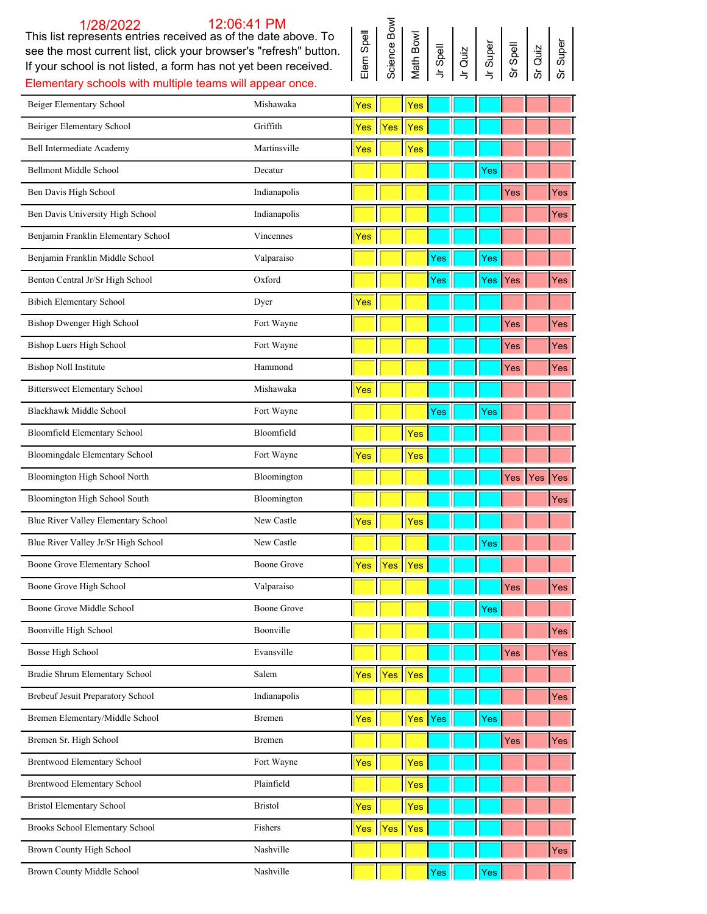| 12:06:41 PM<br>1/28/2022<br>This list represents entries received as of the date above. To |                    |            | Science Bow |            |          |         |          |            |         |       |
|--------------------------------------------------------------------------------------------|--------------------|------------|-------------|------------|----------|---------|----------|------------|---------|-------|
| see the most current list, click your browser's "refresh" button.                          |                    | Elem Spell |             | Math Bowl  | Jr Spell | Jr Quiz | Jr Super | Sr Spell   | Sr Quiz | Super |
| If your school is not listed, a form has not yet been received.                            |                    |            |             |            |          |         |          |            |         |       |
| Elementary schools with multiple teams will appear once.                                   |                    |            |             |            |          |         |          |            |         |       |
| Beiger Elementary School                                                                   | Mishawaka          | Yes        |             | Yes        |          |         |          |            |         |       |
| Beiriger Elementary School                                                                 | Griffith           | Yes        | Yes         | Yes        |          |         |          |            |         |       |
| Bell Intermediate Academy                                                                  | Martinsville       | Yes        |             | Yes        |          |         |          |            |         |       |
| Bellmont Middle School                                                                     | Decatur            |            |             |            |          |         | Yes      |            |         |       |
| Ben Davis High School                                                                      | Indianapolis       |            |             |            |          |         |          | Yes        |         | Yes   |
| Ben Davis University High School                                                           | Indianapolis       |            |             |            |          |         |          |            |         | Yes   |
| Benjamin Franklin Elementary School                                                        | Vincennes          | Yes        |             |            |          |         |          |            |         |       |
| Benjamin Franklin Middle School                                                            | Valparaiso         |            |             |            | Yes      |         | Yes      |            |         |       |
| Benton Central Jr/Sr High School                                                           | Oxford             |            |             |            | Yes      |         | Yes      | <b>Yes</b> |         | Yes   |
| <b>Bibich Elementary School</b>                                                            | Dyer               | Yes        |             |            |          |         |          |            |         |       |
| Bishop Dwenger High School                                                                 | Fort Wayne         |            |             |            |          |         |          | Yes        |         | Yes   |
| <b>Bishop Luers High School</b>                                                            | Fort Wayne         |            |             |            |          |         |          | Yes        |         | Yes   |
| <b>Bishop Noll Institute</b>                                                               | Hammond            |            |             |            |          |         |          | Yes        |         | Yes   |
| <b>Bittersweet Elementary School</b>                                                       | Mishawaka          | Yes        |             |            |          |         |          |            |         |       |
| Blackhawk Middle School                                                                    | Fort Wayne         |            |             |            | Yes      |         | Yes      |            |         |       |
| Bloomfield Elementary School                                                               | Bloomfield         |            |             | Yes        |          |         |          |            |         |       |
| Bloomingdale Elementary School                                                             | Fort Wayne         | Yes        |             | Yes        |          |         |          |            |         |       |
| Bloomington High School North                                                              | Bloomington        |            |             |            |          |         |          | Yes        | Yes     | Yes   |
| Bloomington High School South                                                              | Bloomington        |            |             |            |          |         |          |            |         | Yes   |
| Blue River Valley Elementary School                                                        | New Castle         | Yes        |             | Yes        |          |         |          |            |         |       |
| Blue River Valley Jr/Sr High School                                                        | New Castle         |            |             |            |          |         | Yes      |            |         |       |
| Boone Grove Elementary School                                                              | Boone Grove        | <b>Yes</b> | Yes         | Yes        |          |         |          |            |         |       |
| Boone Grove High School                                                                    | Valparaiso         |            |             |            |          |         |          | Yes        |         | Yes   |
| Boone Grove Middle School                                                                  | <b>Boone Grove</b> |            |             |            |          |         | Yes      |            |         |       |
| Boonville High School                                                                      | Boonville          |            |             |            |          |         |          |            |         | Yes   |
| Bosse High School                                                                          | Evansville         |            |             |            |          |         |          | Yes        |         | Yes   |
| Bradie Shrum Elementary School                                                             | Salem              | Yes        | Yes         | Yes        |          |         |          |            |         |       |
| Brebeuf Jesuit Preparatory School                                                          | Indianapolis       |            |             |            |          |         |          |            |         | Yes   |
| Bremen Elementary/Middle School                                                            | <b>Bremen</b>      | Yes        |             | <b>Yes</b> | Yes      |         | Yes      |            |         |       |
| Bremen Sr. High School                                                                     | Bremen             |            |             |            |          |         |          | Yes        |         | Yes   |
| Brentwood Elementary School                                                                | Fort Wayne         | Yes        |             | Yes        |          |         |          |            |         |       |
| Brentwood Elementary School                                                                | Plainfield         |            |             | Yes        |          |         |          |            |         |       |
| <b>Bristol Elementary School</b>                                                           | <b>Bristol</b>     | Yes        |             | Yes        |          |         |          |            |         |       |
| Brooks School Elementary School                                                            | Fishers            | Yes        | Yes         | Yes        |          |         |          |            |         |       |
| Brown County High School                                                                   | Nashville          |            |             |            |          |         |          |            |         | Yes   |
| Brown County Middle School                                                                 | Nashville          |            |             |            | Yes      |         | Yes      |            |         |       |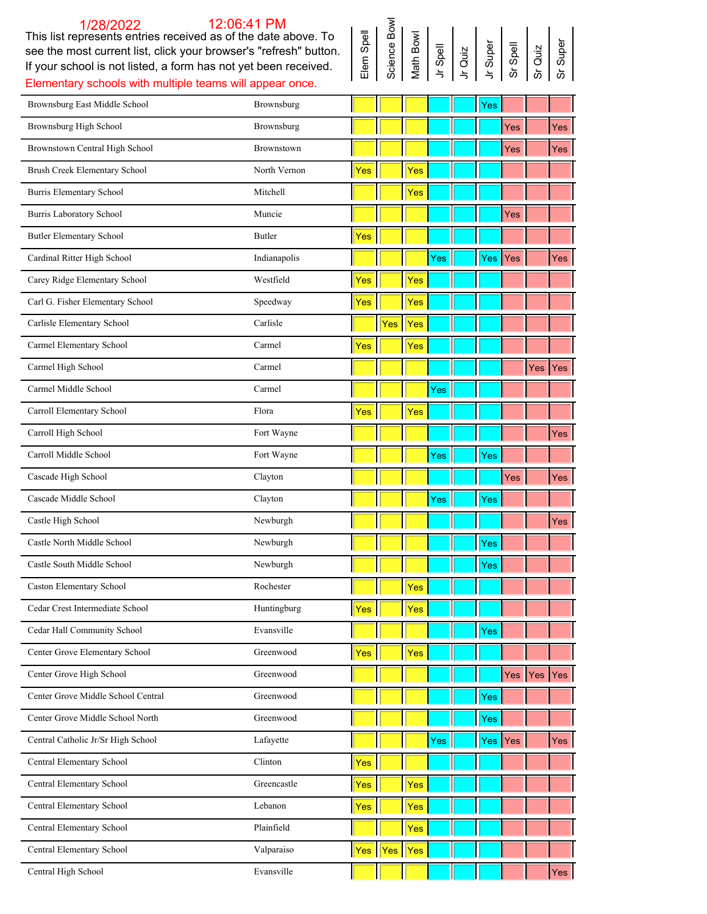| This list represents entries received as of the date above. To<br>see the most current list, click your browser's "refresh" button.<br>If your school is not listed, a form has not yet been received. |              | Elem Spell | Science Bo | Math Bowl        | Spell<br>$\overline{z}$ | Quiz<br>$\overline{5}$ | Super<br>$\overline{z}$ | Spell<br>δ | Quiz<br>ທັ | Super<br>ທັ     |
|--------------------------------------------------------------------------------------------------------------------------------------------------------------------------------------------------------|--------------|------------|------------|------------------|-------------------------|------------------------|-------------------------|------------|------------|-----------------|
| Elementary schools with multiple teams will appear once.                                                                                                                                               |              |            |            |                  |                         |                        |                         |            |            |                 |
| Brownsburg East Middle School                                                                                                                                                                          | Brownsburg   |            |            |                  |                         |                        | Yes                     |            |            |                 |
| Brownsburg High School                                                                                                                                                                                 | Brownsburg   |            |            |                  |                         |                        |                         | Yes        |            | Yes             |
| Brownstown Central High School                                                                                                                                                                         | Brownstown   |            |            |                  |                         |                        |                         | Yes        |            | Yes             |
| Brush Creek Elementary School                                                                                                                                                                          | North Vernon | Yes        |            | Yes              |                         |                        |                         |            |            |                 |
| Burris Elementary School                                                                                                                                                                               | Mitchell     |            |            | Yes              |                         |                        |                         |            |            |                 |
| Burris Laboratory School                                                                                                                                                                               | Muncie       |            |            |                  |                         |                        |                         | Yes        |            |                 |
| <b>Butler Elementary School</b>                                                                                                                                                                        | Butler       | Yes        |            |                  |                         |                        |                         |            |            |                 |
| Cardinal Ritter High School                                                                                                                                                                            | Indianapolis |            |            |                  | Yes                     |                        | Yes                     | Yes        |            | Yes             |
| Carey Ridge Elementary School                                                                                                                                                                          | Westfield    | Yes        |            | Yes              |                         |                        |                         |            |            |                 |
| Carl G. Fisher Elementary School                                                                                                                                                                       | Speedway     | Yes        |            | Yes              |                         |                        |                         |            |            |                 |
| Carlisle Elementary School                                                                                                                                                                             | Carlisle     |            | Yes        | $\vert\vert$ Yes |                         |                        |                         |            |            |                 |
| Carmel Elementary School                                                                                                                                                                               | Carmel       | Yes        |            | Yes              |                         |                        |                         |            |            |                 |
| Carmel High School                                                                                                                                                                                     | Carmel       |            |            |                  |                         |                        |                         |            | Yes Yes    |                 |
| Carmel Middle School                                                                                                                                                                                   | Carmel       |            |            |                  | Yes                     |                        |                         |            |            |                 |
| Carroll Elementary School                                                                                                                                                                              | Flora        | Yes        |            | Yes              |                         |                        |                         |            |            |                 |
| Carroll High School                                                                                                                                                                                    | Fort Wayne   |            |            |                  |                         |                        |                         |            |            | Yes             |
| Carroll Middle School                                                                                                                                                                                  | Fort Wayne   |            |            |                  | Yes                     |                        | Yes                     |            |            |                 |
| Cascade High School                                                                                                                                                                                    | Clayton      |            |            |                  |                         |                        |                         | Yes        |            | Yes             |
| Cascade Middle School                                                                                                                                                                                  | Clayton      |            |            |                  | Yes                     |                        | Yes                     |            |            |                 |
| Castle High School                                                                                                                                                                                     | Newburgh     |            |            |                  |                         |                        |                         |            |            | Yes             |
| Castle North Middle School                                                                                                                                                                             | Newburgh     |            |            |                  |                         |                        | Yes                     |            |            |                 |
| Castle South Middle School                                                                                                                                                                             | Newburgh     |            |            |                  |                         |                        | Yes                     |            |            |                 |
| <b>Caston Elementary School</b>                                                                                                                                                                        | Rochester    |            |            | Yes              |                         |                        |                         |            |            |                 |
| Cedar Crest Intermediate School                                                                                                                                                                        | Huntingburg  | Yes        |            | Yes              |                         |                        |                         |            |            |                 |
| Cedar Hall Community School                                                                                                                                                                            | Evansville   |            |            |                  |                         |                        | Yes                     |            |            |                 |
| Center Grove Elementary School                                                                                                                                                                         | Greenwood    | Yes        |            | Yes              |                         |                        |                         |            |            |                 |
| Center Grove High School                                                                                                                                                                               | Greenwood    |            |            |                  |                         |                        |                         | Yes Yes    |            | Yes             |
| Center Grove Middle School Central                                                                                                                                                                     | Greenwood    |            |            |                  |                         |                        | Yes                     |            |            |                 |
| Center Grove Middle School North                                                                                                                                                                       | Greenwood    |            |            |                  |                         |                        | Yes                     |            |            |                 |
| Central Catholic Jr/Sr High School                                                                                                                                                                     | Lafayette    |            |            |                  | Yes                     |                        | Yes                     | Yes        |            | Yes             |
| Central Elementary School                                                                                                                                                                              | Clinton      | Yes        |            |                  |                         |                        |                         |            |            |                 |
| Central Elementary School                                                                                                                                                                              | Greencastle  | Yes        |            | Yes              |                         |                        |                         |            |            |                 |
| Central Elementary School                                                                                                                                                                              | Lebanon      | Yes        |            | Yes              |                         |                        |                         |            |            |                 |
| Central Elementary School                                                                                                                                                                              | Plainfield   |            |            | Yes              |                         |                        |                         |            |            |                 |
| Central Elementary School                                                                                                                                                                              | Valparaiso   | Yes        | Yes        | $\vert\vert$ Yes |                         |                        |                         |            |            |                 |
| Central High School                                                                                                                                                                                    | Evansville   |            |            |                  |                         |                        |                         |            |            | Yes <sup></sup> |

# Science Bowl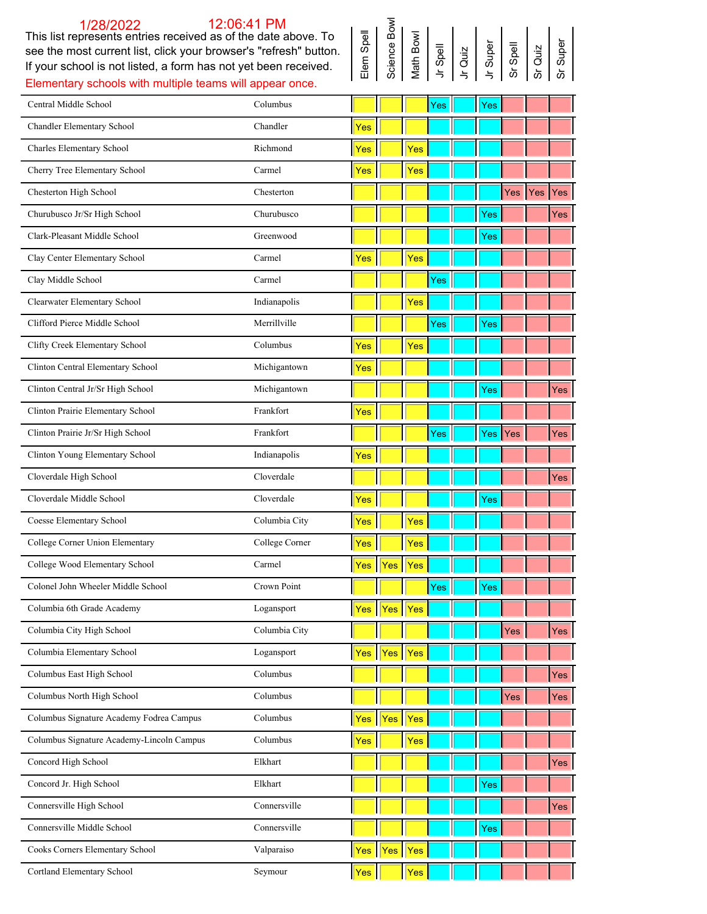This list represents entries received as of the date above. To see the most current list, click your browser's "refresh" button. If your school is not listed, a form has not yet been received. Elementary schools with multiple teams will appear once.

| Elem Spell<br>Science Bowl<br>Science Bowl<br>Math Bowl<br>Jr Quiz<br>Jr Super<br>Sr Spell<br>Sr Quiz<br>Sr Super<br>Sr Super<br>Sr Spell |  |  |  |  |  |  |  |  |  |  |
|-------------------------------------------------------------------------------------------------------------------------------------------|--|--|--|--|--|--|--|--|--|--|
|-------------------------------------------------------------------------------------------------------------------------------------------|--|--|--|--|--|--|--|--|--|--|

| Central Middle School                     | Columbus       |            |         |     | Yes | Yes |         |     |
|-------------------------------------------|----------------|------------|---------|-----|-----|-----|---------|-----|
| Chandler Elementary School                | Chandler       | Yes        |         |     |     |     |         |     |
| Charles Elementary School                 | Richmond       | Yes        |         | Yes |     |     |         |     |
| Cherry Tree Elementary School             | Carmel         | Yes        |         | Yes |     |     |         |     |
| Chesterton High School                    | Chesterton     |            |         |     |     |     | Yes Yes | Yes |
| Churubusco Jr/Sr High School              | Churubusco     |            |         |     |     | Yes |         | Yes |
| Clark-Pleasant Middle School              | Greenwood      |            |         |     |     | Yes |         |     |
| Clay Center Elementary School             | Carmel         | Yes        |         | Yes |     |     |         |     |
| Clay Middle School                        | Carmel         |            |         |     | Yes |     |         |     |
| Clearwater Elementary School              | Indianapolis   |            |         | Yes |     |     |         |     |
| Clifford Pierce Middle School             | Merrillville   |            |         |     | Yes | Yes |         |     |
| Clifty Creek Elementary School            | Columbus       | Yes        |         | Yes |     |     |         |     |
| Clinton Central Elementary School         | Michigantown   | Yes        |         |     |     |     |         |     |
| Clinton Central Jr/Sr High School         | Michigantown   |            |         |     |     | Yes |         | Yes |
| Clinton Prairie Elementary School         | Frankfort      | Yes        |         |     |     |     |         |     |
| Clinton Prairie Jr/Sr High School         | Frankfort      |            |         |     | Yes | Yes | Yes     | Yes |
| Clinton Young Elementary School           | Indianapolis   | Yes        |         |     |     |     |         |     |
| Cloverdale High School                    | Cloverdale     |            |         |     |     |     |         | Yes |
| Cloverdale Middle School                  | Cloverdale     | Yes        |         |     |     | Yes |         |     |
| Coesse Elementary School                  | Columbia City  | Yes        |         | Yes |     |     |         |     |
| College Corner Union Elementary           | College Corner | Yes        |         | Yes |     |     |         |     |
| College Wood Elementary School            | Carmel         | <b>Yes</b> |         | Yes |     |     |         |     |
| Colonel John Wheeler Middle School        | Crown Point    |            |         |     | Yes | Yes |         |     |
| Columbia 6th Grade Academy                | Logansport     |            | Yes Yes | Yes |     |     |         |     |
| Columbia City High School                 | Columbia City  |            |         |     |     |     | Yes     | Yes |
| Columbia Elementary School                | Logansport     | Yes        | Yes     | Yes |     |     |         |     |
| Columbus East High School                 | Columbus       |            |         |     |     |     |         | Yes |
| Columbus North High School                | Columbus       |            |         |     |     |     | Yes     | Yes |
| Columbus Signature Academy Fodrea Campus  | Columbus       | Yes        | Yes     | Yes |     |     |         |     |
| Columbus Signature Academy-Lincoln Campus | Columbus       | Yes        |         | Yes |     |     |         |     |
| Concord High School                       | Elkhart        |            |         |     |     |     |         | Yes |
| Concord Jr. High School                   | Elkhart        |            |         |     |     | Yes |         |     |
| Connersville High School                  | Connersville   |            |         |     |     |     |         | Yes |
| Connersville Middle School                | Connersville   |            |         |     |     | Yes |         |     |
| Cooks Corners Elementary School           | Valparaiso     | Yes        | Yes     | Yes |     |     |         |     |
| Cortland Elementary School                | Seymour        | Yes        |         | Yes |     |     |         |     |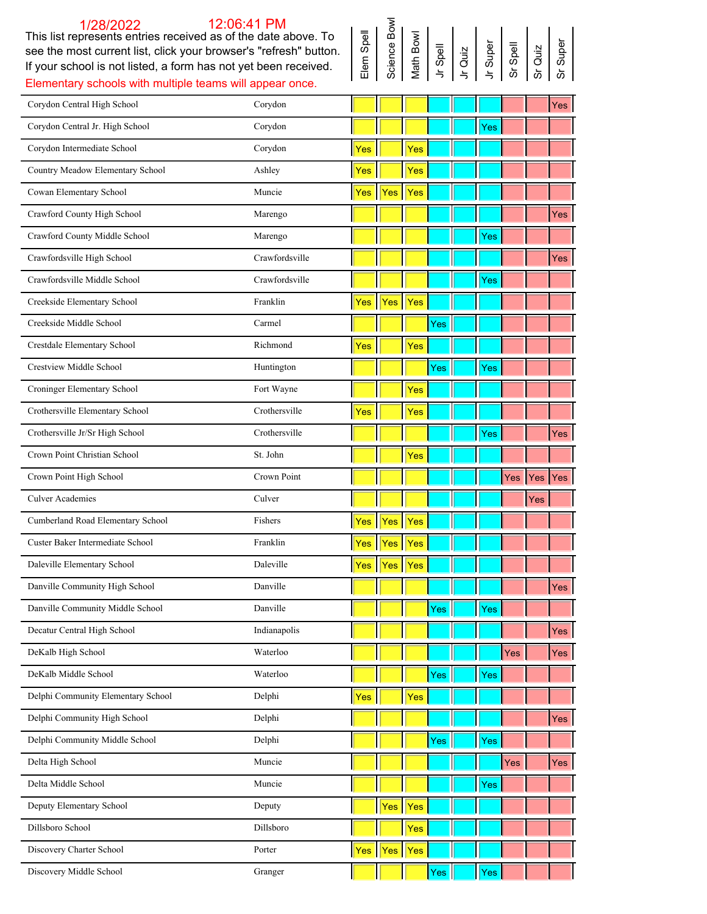| $\sim$ and moot carrotitinot, choit your prowder of reflective pattern.<br>If your school is not listed, a form has not yet been received.<br>Elementary schools with multiple teams will appear once. |                | Elem       | Scien | Math | ج<br>ار | Jr Qui | ā<br>$\overline{z}$ | တိ<br>ທັ | ਰੋ<br>δ | မိ<br>ຜັ |
|--------------------------------------------------------------------------------------------------------------------------------------------------------------------------------------------------------|----------------|------------|-------|------|---------|--------|---------------------|----------|---------|----------|
| Corydon Central High School                                                                                                                                                                            | Corydon        |            |       |      |         |        |                     |          |         | Yes      |
| Corydon Central Jr. High School                                                                                                                                                                        | Corydon        |            |       |      |         |        | Yes                 |          |         |          |
| Corydon Intermediate School                                                                                                                                                                            | Corydon        | Yes        |       | Yes  |         |        |                     |          |         |          |
| Country Meadow Elementary School                                                                                                                                                                       | Ashley         | Yes        |       | Yes  |         |        |                     |          |         |          |
| Cowan Elementary School                                                                                                                                                                                | Muncie         | Yes        | Yes   | Yes  |         |        |                     |          |         |          |
| Crawford County High School                                                                                                                                                                            | Marengo        |            |       |      |         |        |                     |          |         | Yes      |
| Crawford County Middle School                                                                                                                                                                          | Marengo        |            |       |      |         |        | Yes                 |          |         |          |
| Crawfordsville High School                                                                                                                                                                             | Crawfordsville |            |       |      |         |        |                     |          |         | Yes      |
| Crawfordsville Middle School                                                                                                                                                                           | Crawfordsville |            |       |      |         |        | Yes                 |          |         |          |
| Creekside Elementary School                                                                                                                                                                            | Franklin       | Yes        | Yes   | Yes  |         |        |                     |          |         |          |
| Creekside Middle School                                                                                                                                                                                | Carmel         |            |       |      | Yes     |        |                     |          |         |          |
| Crestdale Elementary School                                                                                                                                                                            | Richmond       | Yes        |       | Yes  |         |        |                     |          |         |          |
| <b>Crestview Middle School</b>                                                                                                                                                                         | Huntington     |            |       |      | Yes     |        | Yes                 |          |         |          |
| Croninger Elementary School                                                                                                                                                                            | Fort Wayne     |            |       | Yes  |         |        |                     |          |         |          |
| Crothersville Elementary School                                                                                                                                                                        | Crothersville  | Yes        |       | Yes  |         |        |                     |          |         |          |
| Crothersville Jr/Sr High School                                                                                                                                                                        | Crothersville  |            |       |      |         |        | Yes                 |          |         | Yes      |
| Crown Point Christian School                                                                                                                                                                           | St. John       |            |       | Yes  |         |        |                     |          |         |          |
| Crown Point High School                                                                                                                                                                                | Crown Point    |            |       |      |         |        |                     |          | Yes Yes | Yes      |
| <b>Culver Academies</b>                                                                                                                                                                                | Culver         |            |       |      |         |        |                     |          | Yes     |          |
| Cumberland Road Elementary School                                                                                                                                                                      | Fishers        | Yes        | Yes   | Yes  |         |        |                     |          |         |          |
|                                                                                                                                                                                                        |                |            |       |      |         |        |                     |          |         |          |
| Custer Baker Intermediate School                                                                                                                                                                       | Franklin       | Yes        |       | Yes  |         |        |                     |          |         |          |
| Daleville Elementary School                                                                                                                                                                            | Daleville      | <b>Yes</b> | Yes   | Yes  |         |        |                     |          |         |          |
| Danville Community High School                                                                                                                                                                         | Danville       |            |       |      |         |        |                     |          |         | Yes      |
| Danville Community Middle School                                                                                                                                                                       | Danville       |            |       |      | Yes     |        | Yes                 |          |         |          |
| Decatur Central High School                                                                                                                                                                            | Indianapolis   |            |       |      |         |        |                     |          |         | Yes      |
| DeKalb High School                                                                                                                                                                                     | Waterloo       |            |       |      |         |        |                     | Yes      |         | Yes      |
| DeKalb Middle School                                                                                                                                                                                   | Waterloo       |            |       |      | Yes     |        | Yes                 |          |         |          |
| Delphi Community Elementary School                                                                                                                                                                     | Delphi         | Yes        |       | Yes  |         |        |                     |          |         |          |
| Delphi Community High School                                                                                                                                                                           | Delphi         |            |       |      |         |        |                     |          |         | Yes      |
| Delphi Community Middle School                                                                                                                                                                         | Delphi         |            |       |      | Yes     |        | Yes                 |          |         |          |
| Delta High School                                                                                                                                                                                      | Muncie         |            |       |      |         |        |                     | Yes      |         | Yes      |
| Delta Middle School                                                                                                                                                                                    | Muncie         |            |       |      |         |        | Yes                 |          |         |          |
| Deputy Elementary School                                                                                                                                                                               | Deputy         |            | Yes   | Yes  |         |        |                     |          |         |          |
| Dillsboro School                                                                                                                                                                                       | Dillsboro      |            |       | Yes  |         |        |                     |          |         |          |

This list represents entries received as of the date above. To see the most current list, click your browser's "refresh" button. Elem Spell<br>
Science Bowl<br>
Math Bowl<br>
Jr Super<br>
Jr Super<br>
Sr Quiz<br>
Sr Super Science Bowl

Discovery Middle School Granger Granger Theory Network of the School Yes Yes Yes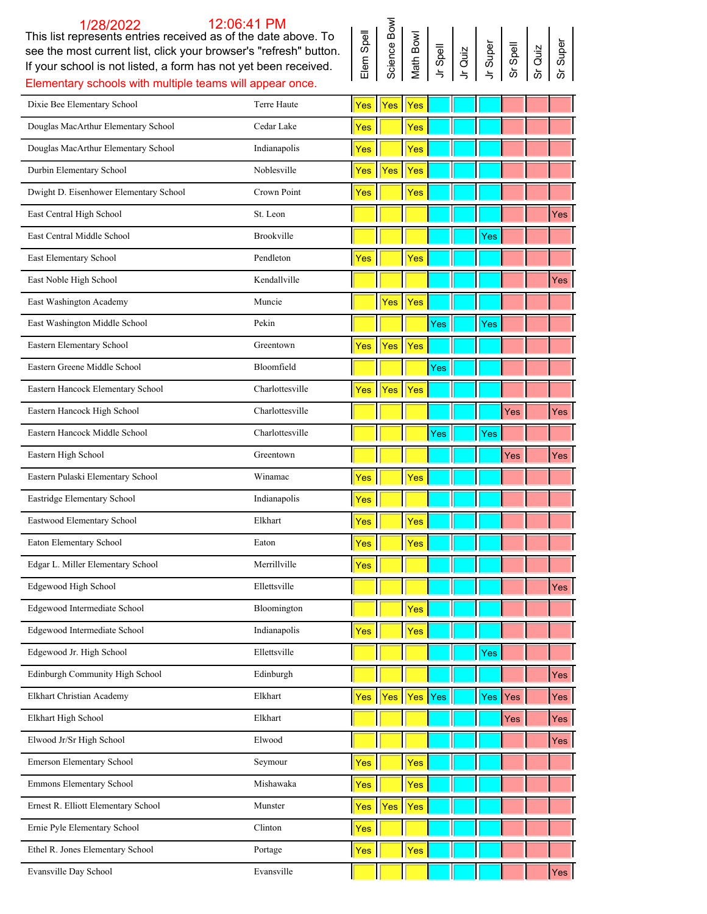| This list represents entries received as of the date above. To<br>see the most current list, click your browser's "refresh" button.<br>If your school is not listed, a form has not yet been received. |                 | Elem Spell | Science Bo  | Math Bowl | Jr Spell | Jr Quiz | Jr Super | Sr Spell | Quiz<br>ທັ | Super |
|--------------------------------------------------------------------------------------------------------------------------------------------------------------------------------------------------------|-----------------|------------|-------------|-----------|----------|---------|----------|----------|------------|-------|
| Elementary schools with multiple teams will appear once.                                                                                                                                               |                 |            |             |           |          |         |          |          |            |       |
| Dixie Bee Elementary School                                                                                                                                                                            | Terre Haute     |            | Yes Yes Yes |           |          |         |          |          |            |       |
| Douglas MacArthur Elementary School                                                                                                                                                                    | Cedar Lake      | Yes        |             | Yes       |          |         |          |          |            |       |
| Douglas MacArthur Elementary School                                                                                                                                                                    | Indianapolis    | Yes        |             | Yes       |          |         |          |          |            |       |
| Durbin Elementary School                                                                                                                                                                               | Noblesville     | Yes        | Yes         | Yes       |          |         |          |          |            |       |
| Dwight D. Eisenhower Elementary School                                                                                                                                                                 | Crown Point     | Yes        |             | Yes       |          |         |          |          |            |       |
| East Central High School                                                                                                                                                                               | St. Leon        |            |             |           |          |         |          |          |            | Yes   |
| East Central Middle School                                                                                                                                                                             | Brookville      |            |             |           |          |         | Yes      |          |            |       |
| East Elementary School                                                                                                                                                                                 | Pendleton       | Yes        |             | Yes       |          |         |          |          |            |       |
| East Noble High School                                                                                                                                                                                 | Kendallville    |            |             |           |          |         |          |          |            | Yes   |
| East Washington Academy                                                                                                                                                                                | Muncie          |            | Yes         | Yes       |          |         |          |          |            |       |
| East Washington Middle School                                                                                                                                                                          | Pekin           |            |             |           | Yes      |         | Yes      |          |            |       |
| Eastern Elementary School                                                                                                                                                                              | Greentown       |            | Yes Yes Yes |           |          |         |          |          |            |       |
| Eastern Greene Middle School                                                                                                                                                                           | Bloomfield      |            |             |           | Yes      |         |          |          |            |       |
| Eastern Hancock Elementary School                                                                                                                                                                      | Charlottesville | Yes        | Yes         | Yes       |          |         |          |          |            |       |
| Eastern Hancock High School                                                                                                                                                                            | Charlottesville |            |             |           |          |         |          | Yes      |            | Yes   |
| Eastern Hancock Middle School                                                                                                                                                                          | Charlottesville |            |             |           | Yes      |         | Yes      |          |            |       |
| Eastern High School                                                                                                                                                                                    | Greentown       |            |             |           |          |         |          | Yes      |            | Yes   |
| Eastern Pulaski Elementary School                                                                                                                                                                      | Winamac         | Yes        |             | Yes       |          |         |          |          |            |       |
| Eastridge Elementary School                                                                                                                                                                            | Indianapolis    | Yes        |             |           |          |         |          |          |            |       |
| Eastwood Elementary School                                                                                                                                                                             | Elkhart         | Yes        |             | Yes       |          |         |          |          |            |       |
| Eaton Elementary School                                                                                                                                                                                | Eaton           | Yes        |             | Yes       |          |         |          |          |            |       |
| Edgar L. Miller Elementary School                                                                                                                                                                      | Merrillville    | Yes        |             |           |          |         |          |          |            |       |
| Edgewood High School                                                                                                                                                                                   | Ellettsville    |            |             |           |          |         |          |          |            | Yes   |
| Edgewood Intermediate School                                                                                                                                                                           | Bloomington     |            |             | Yes       |          |         |          |          |            |       |
| Edgewood Intermediate School                                                                                                                                                                           | Indianapolis    | Yes        |             | Yes       |          |         |          |          |            |       |
| Edgewood Jr. High School                                                                                                                                                                               | Ellettsville    |            |             |           |          |         | Yes      |          |            |       |
| Edinburgh Community High School                                                                                                                                                                        | Edinburgh       |            |             |           |          |         |          |          |            | Yes   |
| Elkhart Christian Academy                                                                                                                                                                              | Elkhart         | <b>Yes</b> | Yes         | Yes       | Yes      |         | Yes      | Yes      |            | Yes   |
| Elkhart High School                                                                                                                                                                                    | Elkhart         |            |             |           |          |         |          | Yes      |            | Yes   |
| Elwood Jr/Sr High School                                                                                                                                                                               | Elwood          |            |             |           |          |         |          |          |            | Yes   |
| Emerson Elementary School                                                                                                                                                                              | Seymour         | Yes        |             | Yes       |          |         |          |          |            |       |
| Emmons Elementary School                                                                                                                                                                               | Mishawaka       | Yes        |             | Yes       |          |         |          |          |            |       |
| Ernest R. Elliott Elementary School                                                                                                                                                                    | Munster         | Yes        | Yes         | Yes       |          |         |          |          |            |       |
| Ernie Pyle Elementary School                                                                                                                                                                           | Clinton         | Yes        |             |           |          |         |          |          |            |       |
| Ethel R. Jones Elementary School                                                                                                                                                                       | Portage         | Yes        |             | Yes       |          |         |          |          |            |       |
| Evansville Day School                                                                                                                                                                                  | Evansville      |            |             |           |          |         |          |          |            | Yes   |

Science Bowl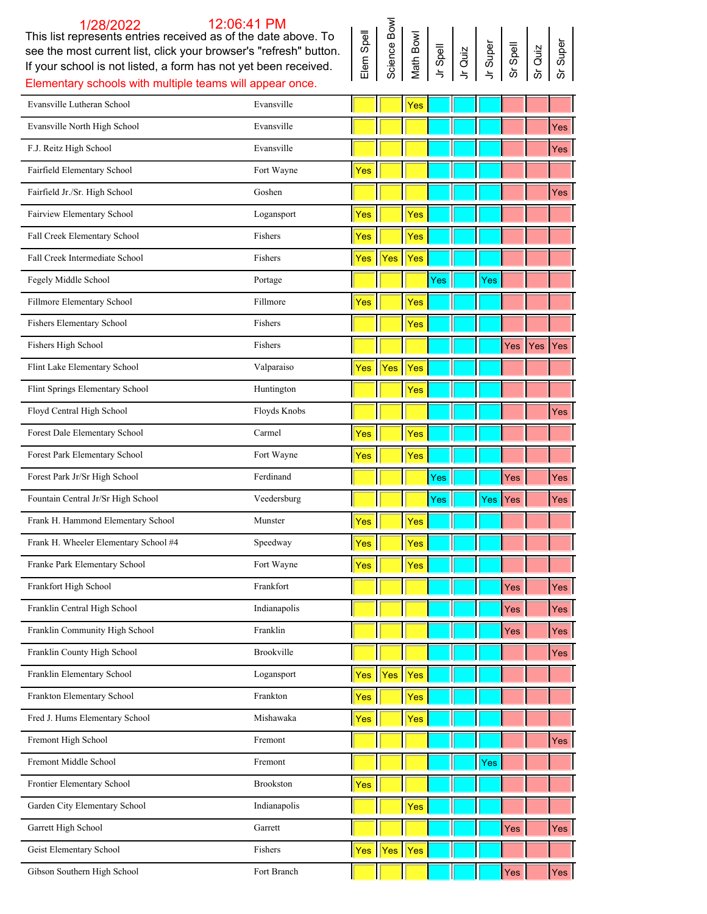| 12:06:41 PM<br>1/28/2022<br>This list represents entries received as of the date above. To |                   |            | Science Bowl     |           |          |         |          |          |             |                  |
|--------------------------------------------------------------------------------------------|-------------------|------------|------------------|-----------|----------|---------|----------|----------|-------------|------------------|
| see the most current list, click your browser's "refresh" button.                          |                   | Elem Spell |                  | Math Bowl |          |         | Jr Super | Sr Spell |             | Super            |
| If your school is not listed, a form has not yet been received.                            |                   |            |                  |           | Jr Spell | Jr Quiz |          |          | Sr Quiz     |                  |
| Elementary schools with multiple teams will appear once.                                   |                   |            |                  |           |          |         |          |          |             |                  |
| Evansville Lutheran School                                                                 | Evansville        |            |                  | Yes       |          |         |          |          |             |                  |
| Evansville North High School                                                               | Evansville        |            |                  |           |          |         |          |          |             | Yes              |
| F.J. Reitz High School                                                                     | Evansville        |            |                  |           |          |         |          |          |             | Yes              |
| Fairfield Elementary School                                                                | Fort Wayne        | Yes        |                  |           |          |         |          |          |             |                  |
| Fairfield Jr./Sr. High School                                                              | Goshen            |            |                  |           |          |         |          |          |             | Yes              |
| Fairview Elementary School                                                                 | Logansport        | Yes        |                  | Yes       |          |         |          |          |             |                  |
| Fall Creek Elementary School                                                               | Fishers           | Yes        |                  | Yes       |          |         |          |          |             |                  |
| Fall Creek Intermediate School                                                             | Fishers           | Yes        | Yes              | Yes       |          |         |          |          |             |                  |
| Fegely Middle School                                                                       | Portage           |            |                  |           | Yes      |         | Yes      |          |             |                  |
| Fillmore Elementary School                                                                 | Fillmore          | Yes        |                  | Yes       |          |         |          |          |             |                  |
| Fishers Elementary School                                                                  | Fishers           |            |                  | Yes       |          |         |          |          |             |                  |
| Fishers High School                                                                        | Fishers           |            |                  |           |          |         |          |          | Yes Yes Yes |                  |
| Flint Lake Elementary School                                                               | Valparaiso        | <b>Yes</b> | $\vert\vert$ Yes | $  $ Yes  |          |         |          |          |             |                  |
| Flint Springs Elementary School                                                            | Huntington        |            |                  | Yes       |          |         |          |          |             |                  |
| Floyd Central High School                                                                  | Floyds Knobs      |            |                  |           |          |         |          |          |             | Yes              |
| Forest Dale Elementary School                                                              | Carmel            | Yes        |                  | Yes       |          |         |          |          |             |                  |
| Forest Park Elementary School                                                              | Fort Wayne        | Yes        |                  | Yes       |          |         |          |          |             |                  |
| Forest Park Jr/Sr High School                                                              | Ferdinand         |            |                  |           | Yes      |         |          | Yes      |             | Yes              |
| Fountain Central Jr/Sr High School                                                         | Veedersburg       |            |                  |           | Yes      |         | Yes Yes  |          |             | Yes              |
| Frank H. Hammond Elementary School                                                         | Munster           | Yes        |                  | Yes       |          |         |          |          |             |                  |
| Frank H. Wheeler Elementary School #4                                                      | Speedway          | Yes        |                  | Yes       |          |         |          |          |             |                  |
| Franke Park Elementary School                                                              | Fort Wayne        | Yes        |                  | Yes       |          |         |          |          |             |                  |
| Frankfort High School                                                                      | Frankfort         |            |                  |           |          |         |          | Yes      |             | Yes <sup> </sup> |
| Franklin Central High School                                                               | Indianapolis      |            |                  |           |          |         |          | Yes      |             | Yes              |
| Franklin Community High School                                                             | Franklin          |            |                  |           |          |         |          | Yes      |             | Yes              |
| Franklin County High School                                                                | <b>Brookville</b> |            |                  |           |          |         |          |          |             | Yes              |
| Franklin Elementary School                                                                 | Logansport        | Yes        | Yes              | Yes       |          |         |          |          |             |                  |
| Frankton Elementary School                                                                 | Frankton          | Yes        |                  | Yes       |          |         |          |          |             |                  |
| Fred J. Hums Elementary School                                                             | Mishawaka         | Yes        |                  | Yes       |          |         |          |          |             |                  |
| Fremont High School                                                                        | Fremont           |            |                  |           |          |         |          |          |             | Yes              |
| Fremont Middle School                                                                      | Fremont           |            |                  |           |          |         | Yes      |          |             |                  |
| Frontier Elementary School                                                                 | Brookston         | Yes        |                  |           |          |         |          |          |             |                  |
| Garden City Elementary School                                                              | Indianapolis      |            |                  | Yes       |          |         |          |          |             |                  |
| Garrett High School                                                                        | Garrett           |            |                  |           |          |         |          | Yes      |             | Yes              |
| Geist Elementary School                                                                    | Fishers           | Yes        | Yes              | Yes       |          |         |          |          |             |                  |
| Gibson Southern High School                                                                | Fort Branch       |            |                  |           |          |         |          | Yes      |             | Yes <sup>1</sup> |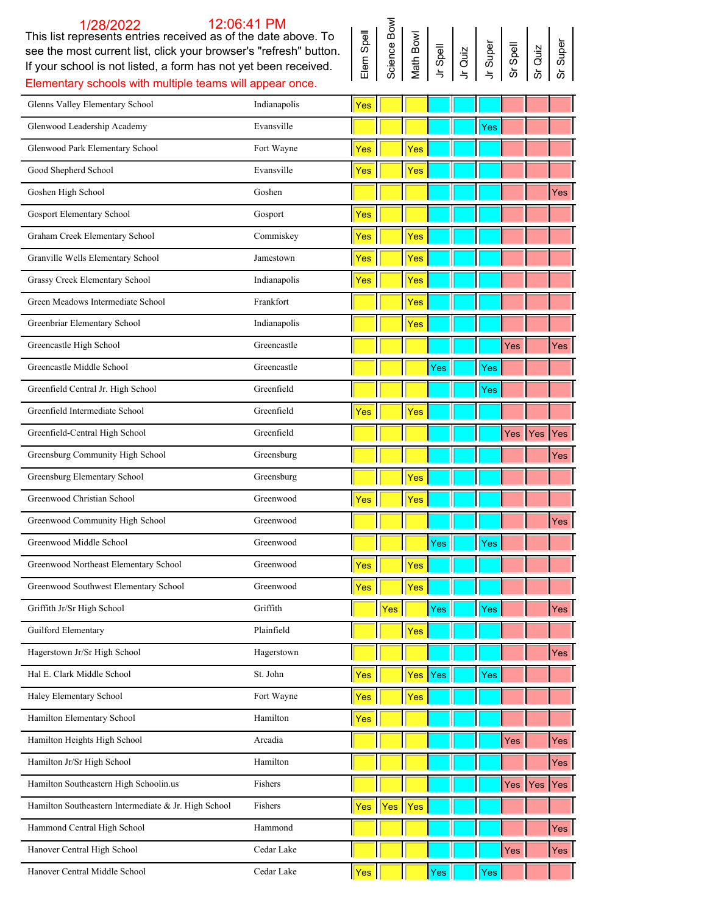### Science Bowl Science Bowl Elem Spell Math Bowl see the most current list, click your browser's "refresh" button. If your school is not listed, a form has not yet been received. Elementary schools with multiple teams will appear once. Glenns Valley Elementary School Indianapolis Indianapolis Ves Glenwood Leadership Academy **Evansville** Evansville **Vesters** Version Number 1 2014 Glenwood Park Elementary School Fort Wayne  $Y$ es Yes Yes Good Shepherd School **Evansville** Evansville **Yes** Yes Yes Goshen High School Goshen Goshen High School Goshen High School Goshen High School Goshen High School (1986) Gosport Elementary School Gosport Gosport News Graham Creek Elementary School Commiskey Ves Yes Yes Granville Wells Elementary School Jamestown Jamestown **Yes** Yes Grassy Creek Elementary School **Indianapolis** Indianapolis **Yes** Yes Yes Green Meadows Intermediate School Frankfort Frankfort News 1988 Greenbriar Elementary School **Indianapolis** Indianapolis **Ves** Greencastle High School Greencastle Yes Yes Greencastle Middle School Greencastle Contracte Contracte The Ves Yes Yes Yes Yes Greenfield Central Jr. High School Greenfield Greenfield **Ves** Greenfield Intermediate School Greenfield Greenfield **Yes** Yes Greenfield-Central High School Greenfield Yes Yes Yes Greensburg Community High School Greensburg Greensburg **Vesters** And The **Community High School** Greensburg Vesters Greensburg Elementary School Greensburg Greensburg Ves Greenwood Christian School Greenwood Christian School Greenwood Ves Yes Yes Greenwood Community High School Greenwood **Greenwood Vesters** Greenwood Middle School Greenwood **Yes Yes Yes Yes Yes** Greenwood Northeast Elementary School Greenwood **Yes Yes** Greenwood Southwest Elementary School Greenwood **Yes Yes** Yes Griffith Jr/Sr High School  $\begin{array}{c|c|c|c|c|c} \hline \text{Grimn} & \text{Yes} & \text{Yes} & \text{Yes} & \text{Yes} & \text{Yes} & \text{Yes} & \text{Yes} & \text{Yes} & \text{Yes} & \text{Yes} & \text{Yes} & \text{Yes} & \text{Yes} & \text{Yes} & \text{Yes} & \text{Yes} & \text{Yes} & \text{Yes} & \text{Yes} & \text{Yes} & \text{Yes} & \text{Yes} & \text{Yes} & \text{Yes} & \text{Yes} & \text{Yes} & \text{Yes} & \text{Yes$ Guilford Elementary **Plainfield** Plainfield **Plainfield Plainfield Plainfield** Hagerstown Jr/Sr High School **Hagerstown** Hagerstown **Henry Hagerstown** Henry Henry Henry Henry Henry Henry Henry H Hal E. Clark Middle School St. John Yes Yes Yes Yes Haley Elementary School **Fort Wayne Yes Yes Yes** Hamilton Elementary School **Hamilton** Hamilton **Hamilton Yes** Hamilton Heights High School **Arcadia** Arcadia **Yes Yes Yes Yes Yes Yes Yes Yes** Yes Yes Yes Yes Yes Yes Yes Yes Hamilton Jr/Sr High School **Hamilton** Hamilton **Hamilton Henry Hamilton Henry Hamilton Henry Hamilton Henry Hamilton** Hamilton Southeastern High Schoolin.us Fishers Fishers **Fishers** Ves Yes Yes Yes Yes Yes Hamilton Southeastern Intermediate & Jr. High School Fishers Fishers Ves Yes Yes Hammond Central High School **Hammond** Hammond **Hammond H H H H H H H H Yes**

Hanover Central High School Cedar Lake **Yes You Cedar Lake** Yes Yes Yes Yes Yes

Jr Spell Jr Super Sr Spell Quiz **Super** Jr Quiz

Hanover Central Middle School Cedar Lake Yes Yes Yes Yes Yes Yes Yes Yes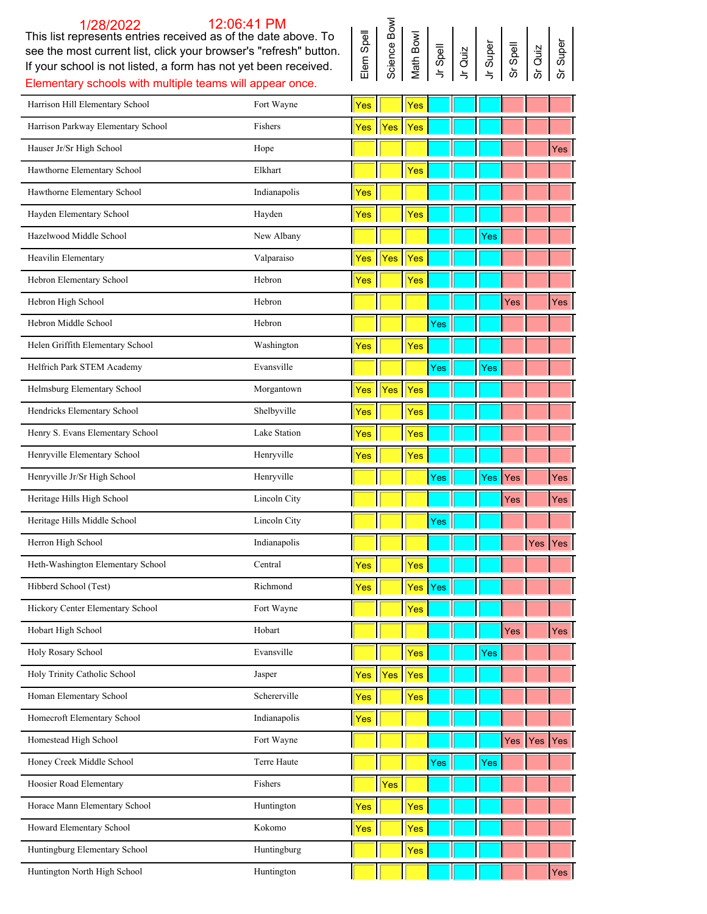| This list represents entries received as of the date above. To<br>see the most current list, click your browser's "refresh" button.<br>If your school is not listed, a form has not yet been received. |              | Elem Spell | Science Bo | Math Bowl | Jr Spell | Jr Quiz | Super<br>$\overline{5}$ | Sr Spell | Quiz<br>ທັ  | Super      |
|--------------------------------------------------------------------------------------------------------------------------------------------------------------------------------------------------------|--------------|------------|------------|-----------|----------|---------|-------------------------|----------|-------------|------------|
| Elementary schools with multiple teams will appear once.                                                                                                                                               |              |            |            |           |          |         |                         |          |             |            |
| Harrison Hill Elementary School                                                                                                                                                                        | Fort Wayne   | Yes        |            | Yes       |          |         |                         |          |             |            |
| Harrison Parkway Elementary School                                                                                                                                                                     | Fishers      | Yes        | Yes        | Yes       |          |         |                         |          |             |            |
| Hauser Jr/Sr High School                                                                                                                                                                               | Hope         |            |            |           |          |         |                         |          |             | Yes        |
| Hawthorne Elementary School                                                                                                                                                                            | Elkhart      |            |            | Yes       |          |         |                         |          |             |            |
| Hawthorne Elementary School                                                                                                                                                                            | Indianapolis | Yes        |            |           |          |         |                         |          |             |            |
| Hayden Elementary School                                                                                                                                                                               | Hayden       | Yes        |            | Yes       |          |         |                         |          |             |            |
| Hazelwood Middle School                                                                                                                                                                                | New Albany   |            |            |           |          |         | Yes                     |          |             |            |
| Heavilin Elementary                                                                                                                                                                                    | Valparaiso   | Yes        | Yes        | Yes       |          |         |                         |          |             |            |
| Hebron Elementary School                                                                                                                                                                               | Hebron       | Yes        |            | Yes       |          |         |                         |          |             |            |
| Hebron High School                                                                                                                                                                                     | Hebron       |            |            |           |          |         |                         | Yes      |             | Yes        |
| Hebron Middle School                                                                                                                                                                                   | Hebron       |            |            |           | Yes      |         |                         |          |             |            |
| Helen Griffith Elementary School                                                                                                                                                                       | Washington   | Yes        |            | Yes       |          |         |                         |          |             |            |
| Helfrich Park STEM Academy                                                                                                                                                                             | Evansville   |            |            |           | Yes      |         | Yes                     |          |             |            |
| Helmsburg Elementary School                                                                                                                                                                            | Morgantown   | Yes        | Yes        | Yes       |          |         |                         |          |             |            |
| Hendricks Elementary School                                                                                                                                                                            | Shelbyville  | Yes        |            | Yes       |          |         |                         |          |             |            |
| Henry S. Evans Elementary School                                                                                                                                                                       | Lake Station | Yes        |            | Yes       |          |         |                         |          |             |            |
| Henryville Elementary School                                                                                                                                                                           | Henryville   | Yes        |            | Yes       |          |         |                         |          |             |            |
| Henryville Jr/Sr High School                                                                                                                                                                           | Henryville   |            |            |           | Yes      |         | Yes                     | Yes      |             | Yes        |
| Heritage Hills High School                                                                                                                                                                             | Lincoln City |            |            |           |          |         |                         | Yes      |             | Yes        |
| Heritage Hills Middle School                                                                                                                                                                           | Lincoln City |            |            |           | Yes      |         |                         |          |             |            |
| Herron High School                                                                                                                                                                                     | Indianapolis |            |            |           |          |         |                         |          | Yes Yes     |            |
| Heth-Washington Elementary School                                                                                                                                                                      | Central      | Yes        |            | Yes       |          |         |                         |          |             |            |
| Hibberd School (Test)                                                                                                                                                                                  | Richmond     | Yes        |            | Yes Yes   |          |         |                         |          |             |            |
| Hickory Center Elementary School                                                                                                                                                                       | Fort Wayne   |            |            | Yes       |          |         |                         |          |             |            |
| Hobart High School                                                                                                                                                                                     | Hobart       |            |            |           |          |         |                         | Yes      |             | Yes        |
| Holy Rosary School                                                                                                                                                                                     | Evansville   |            |            | Yes       |          |         | Yes                     |          |             |            |
| Holy Trinity Catholic School                                                                                                                                                                           | Jasper       | Yes        | Yes        | Yes       |          |         |                         |          |             |            |
| Homan Elementary School                                                                                                                                                                                | Schererville | Yes        |            | Yes       |          |         |                         |          |             |            |
| Homecroft Elementary School                                                                                                                                                                            | Indianapolis | Yes        |            |           |          |         |                         |          |             |            |
| Homestead High School                                                                                                                                                                                  | Fort Wayne   |            |            |           |          |         |                         |          | Yes Yes Yes |            |
| Honey Creek Middle School                                                                                                                                                                              | Terre Haute  |            |            |           | Yes      |         | Yes                     |          |             |            |
| Hoosier Road Elementary                                                                                                                                                                                | Fishers      |            | Yes        |           |          |         |                         |          |             |            |
| Horace Mann Elementary School                                                                                                                                                                          | Huntington   | Yes        |            | Yes       |          |         |                         |          |             |            |
| Howard Elementary School                                                                                                                                                                               | Kokomo       | Yes        |            | Yes       |          |         |                         |          |             |            |
| Huntingburg Elementary School                                                                                                                                                                          | Huntingburg  |            |            | Yes       |          |         |                         |          |             |            |
| Huntington North High School                                                                                                                                                                           | Huntington   |            |            |           |          |         |                         |          |             | $Yes \mid$ |

Science Bowl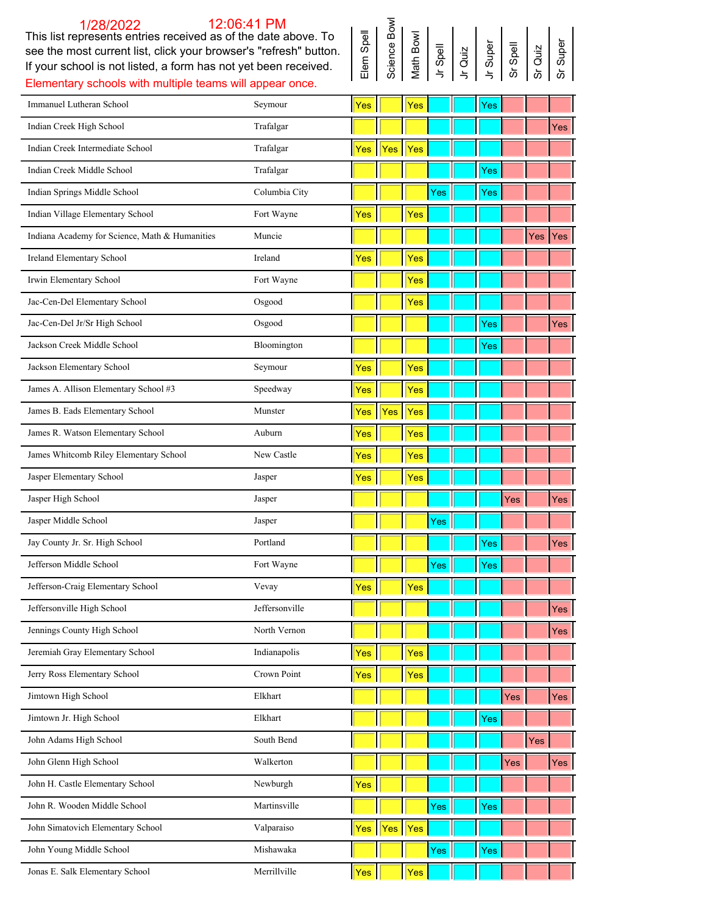This list represents entries received as of the date above. To see the most current list, click your browser's "refresh" button. If your school is not listed, a form has not yet been received. Elementary schools with multiple teams will appear once.

| Elem Spell<br>Science Bowl<br>Science Bowl<br>Math Bowl<br>Jr Quiz<br>Jr Super<br>Sr Quiz<br>Sr Quiz<br>Sr Quiz<br>Sr Quiz<br>Sr Quiz<br>Sr Quiz<br>Sr Quiz<br>Sr Quiz |  |  |  |  |  |  |  |  |
|------------------------------------------------------------------------------------------------------------------------------------------------------------------------|--|--|--|--|--|--|--|--|
|------------------------------------------------------------------------------------------------------------------------------------------------------------------------|--|--|--|--|--|--|--|--|

| Immanuel Lutheran School                       | Seymour        | Yes            |     | Yes |     | Yes |     |     |     |
|------------------------------------------------|----------------|----------------|-----|-----|-----|-----|-----|-----|-----|
| Indian Creek High School                       | Trafalgar      |                |     |     |     |     |     |     | Yes |
| Indian Creek Intermediate School               | Trafalgar      | Yes            | Yes | Yes |     |     |     |     |     |
| Indian Creek Middle School                     | Trafalgar      |                |     |     |     | Yes |     |     |     |
| Indian Springs Middle School                   | Columbia City  |                |     |     | Yes | Yes |     |     |     |
| Indian Village Elementary School               | Fort Wayne     | $\mathsf{Yes}$ |     | Yes |     |     |     |     |     |
| Indiana Academy for Science, Math & Humanities | Muncie         |                |     |     |     |     |     | Yes | Yes |
| Ireland Elementary School                      | Ireland        | Yes            |     | Yes |     |     |     |     |     |
| Irwin Elementary School                        | Fort Wayne     |                |     | Yes |     |     |     |     |     |
| Jac-Cen-Del Elementary School                  | Osgood         |                |     | Yes |     |     |     |     |     |
| Jac-Cen-Del Jr/Sr High School                  | Osgood         |                |     |     |     | Yes |     |     | Yes |
| Jackson Creek Middle School                    | Bloomington    |                |     |     |     | Yes |     |     |     |
| Jackson Elementary School                      | Seymour        | Yes            |     | Yes |     |     |     |     |     |
| James A. Allison Elementary School #3          | Speedway       | Yes            |     | Yes |     |     |     |     |     |
| James B. Eads Elementary School                | Munster        | Yes            | Yes | Yes |     |     |     |     |     |
| James R. Watson Elementary School              | Auburn         | Yes            |     | Yes |     |     |     |     |     |
| James Whitcomb Riley Elementary School         | New Castle     | Yes            |     | Yes |     |     |     |     |     |
| Jasper Elementary School                       | Jasper         | $\vert$ Yes    |     | Yes |     |     |     |     |     |
| Jasper High School                             | Jasper         |                |     |     |     |     | Yes |     | Yes |
| Jasper Middle School                           | Jasper         |                |     |     | Yes |     |     |     |     |
| Jay County Jr. Sr. High School                 | Portland       |                |     |     |     | Yes |     |     | Yes |
| Jefferson Middle School                        | Fort Wayne     |                |     |     | Yes | Yes |     |     |     |
| Jefferson-Craig Elementary School              | Vevay          | Yes            |     | Yes |     |     |     |     |     |
| Jeffersonville High School                     | Jeffersonville | Щ              |     |     |     |     |     |     | Yes |
| Jennings County High School                    | North Vernon   |                |     |     |     |     |     |     | Yes |
| Jeremiah Gray Elementary School                | Indianapolis   | Yes            |     | Yes |     |     |     |     |     |
| Jerry Ross Elementary School                   | Crown Point    | Yes            |     | Yes |     |     |     |     |     |
| Jimtown High School                            | Elkhart        |                |     |     |     |     | Yes |     | Yes |
| Jimtown Jr. High School                        | Elkhart        |                |     |     |     | Yes |     |     |     |
| John Adams High School                         | South Bend     |                |     |     |     |     |     | Yes |     |
| John Glenn High School                         | Walkerton      |                |     |     |     |     | Yes |     | Yes |
| John H. Castle Elementary School               | Newburgh       | Yes            |     |     |     |     |     |     |     |
| John R. Wooden Middle School                   | Martinsville   |                |     |     | Yes | Yes |     |     |     |
| John Simatovich Elementary School              | Valparaiso     | Yes            | Yes | Yes |     |     |     |     |     |
| John Young Middle School                       | Mishawaka      |                |     |     | Yes | Yes |     |     |     |
| Jonas E. Salk Elementary School                | Merrillville   | Yes            |     | Yes |     |     |     |     |     |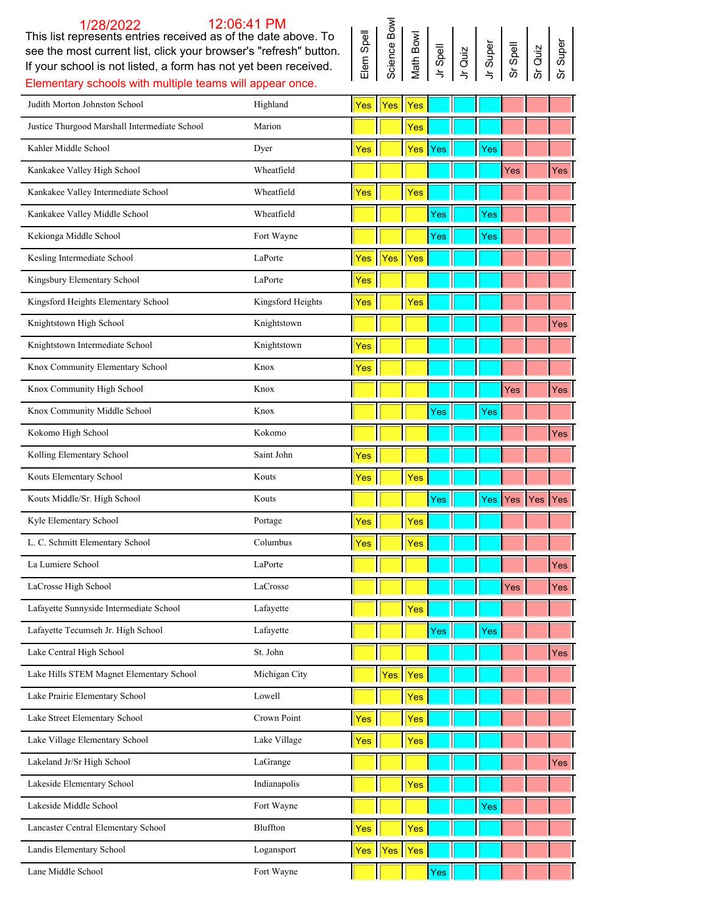### This list represents entries received as of the date above. To see the most current list, click your browser's "refresh" button. 1/28/2022 12:06:41 PM

If your school is not listed, a form has not yet been received. Elementary schools with multiple teams will appear once.

| $\begin{tabular}{ c c c c } \hline \text{Item Split} & \text{Split} \\ \hline \text{Science } \text{Row} \\ \text{Science } \text{Row} \\ \text{Math } \text{Bound} \\ \text{Matt } \text{Bound} \\ \text{J} & \text{Guler} \\ \hline \text{J} & \text{Super} \\ \text{J} & \text{Suff} \\ \hline \text{J} & \text{Suff} \\ \hline \text{J} & \text{Suff} \\ \hline \text{J} & \text{Suff} \\ \hline \text{J} & \text{Suff} \\ \hline \text{J} & \text{Suff} \\ \hline \text{J} & \text{Suff} \\ \h$ |
|------------------------------------------------------------------------------------------------------------------------------------------------------------------------------------------------------------------------------------------------------------------------------------------------------------------------------------------------------------------------------------------------------------------------------------------------------------------------------------------------------|
|                                                                                                                                                                                                                                                                                                                                                                                                                                                                                                      |

| Judith Morton Johnston School                 | Highland          | Yes         | Yes | Yes     |     |     |     |            |     |
|-----------------------------------------------|-------------------|-------------|-----|---------|-----|-----|-----|------------|-----|
| Justice Thurgood Marshall Intermediate School | Marion            |             |     | Yes     |     |     |     |            |     |
| Kahler Middle School                          | Dyer              | Yes         |     | Yes     | Yes | Yes |     |            |     |
| Kankakee Valley High School                   | Wheatfield        |             |     |         |     |     | Yes |            | Yes |
| Kankakee Valley Intermediate School           | Wheatfield        | Yes         |     | Yes     |     |     |     |            |     |
| Kankakee Valley Middle School                 | Wheatfield        |             |     |         | Yes | Yes |     |            |     |
| Kekionga Middle School                        | Fort Wayne        |             |     |         | Yes | Yes |     |            |     |
| Kesling Intermediate School                   | LaPorte           | <b>Yes</b>  | Yes | Yes     |     |     |     |            |     |
| Kingsbury Elementary School                   | LaPorte           | Yes         |     |         |     |     |     |            |     |
| Kingsford Heights Elementary School           | Kingsford Heights | $\vert$ Yes |     | Yes     |     |     |     |            |     |
| Knightstown High School                       | Knightstown       |             |     |         |     |     |     |            | Yes |
| Knightstown Intermediate School               | Knightstown       | Yes         |     |         |     |     |     |            |     |
| Knox Community Elementary School              | Knox              | Yes         |     |         |     |     |     |            |     |
| Knox Community High School                    | Knox              |             |     |         |     |     | Yes |            | Yes |
| Knox Community Middle School                  | Knox              |             |     |         | Yes | Yes |     |            |     |
| Kokomo High School                            | Kokomo            |             |     |         |     |     |     |            | Yes |
| Kolling Elementary School                     | Saint John        | Yes         |     |         |     |     |     |            |     |
| Kouts Elementary School                       | Kouts             | Yes         |     | Yes     |     |     |     |            |     |
| Kouts Middle/Sr. High School                  | Kouts             |             |     |         | Yes | Yes | Yes | <b>Yes</b> | Yes |
| Kyle Elementary School                        | Portage           | Yes         |     | Yes     |     |     |     |            |     |
| L. C. Schmitt Elementary School               | Columbus          | Yes         |     | Yes     |     |     |     |            |     |
| La Lumiere School                             | LaPorte           |             |     |         |     |     |     |            | Yes |
| LaCrosse High School                          | LaCrosse          |             |     |         |     |     | Yes |            | Yes |
| Lafayette Sunnyside Intermediate School       | Lafayette         |             |     | Yes     |     |     |     |            |     |
| Lafayette Tecumseh Jr. High School            | Lafayette         |             |     |         | Yes | Yes |     |            |     |
| Lake Central High School                      | St. John          |             |     |         |     |     |     |            | Yes |
| Lake Hills STEM Magnet Elementary School      | Michigan City     |             | Yes | $ $ Yes |     |     |     |            |     |
| Lake Prairie Elementary School                | Lowell            |             |     | Yes     |     |     |     |            |     |
| Lake Street Elementary School                 | Crown Point       | Yes         |     | Yes     |     |     |     |            |     |
| Lake Village Elementary School                | Lake Village      | Yes         |     | Yes     |     |     |     |            |     |
| Lakeland Jr/Sr High School                    | LaGrange          |             |     |         |     |     |     |            | Yes |
| Lakeside Elementary School                    | Indianapolis      |             |     | Yes     |     |     |     |            |     |
| Lakeside Middle School                        | Fort Wayne        |             |     |         |     | Yes |     |            |     |
| Lancaster Central Elementary School           | Bluffton          | Yes         |     | Yes     |     |     |     |            |     |
| Landis Elementary School                      | Logansport        | Yes         | Yes | Yes     |     |     |     |            |     |
| Lane Middle School                            | Fort Wayne        |             |     |         | Yes |     |     |            |     |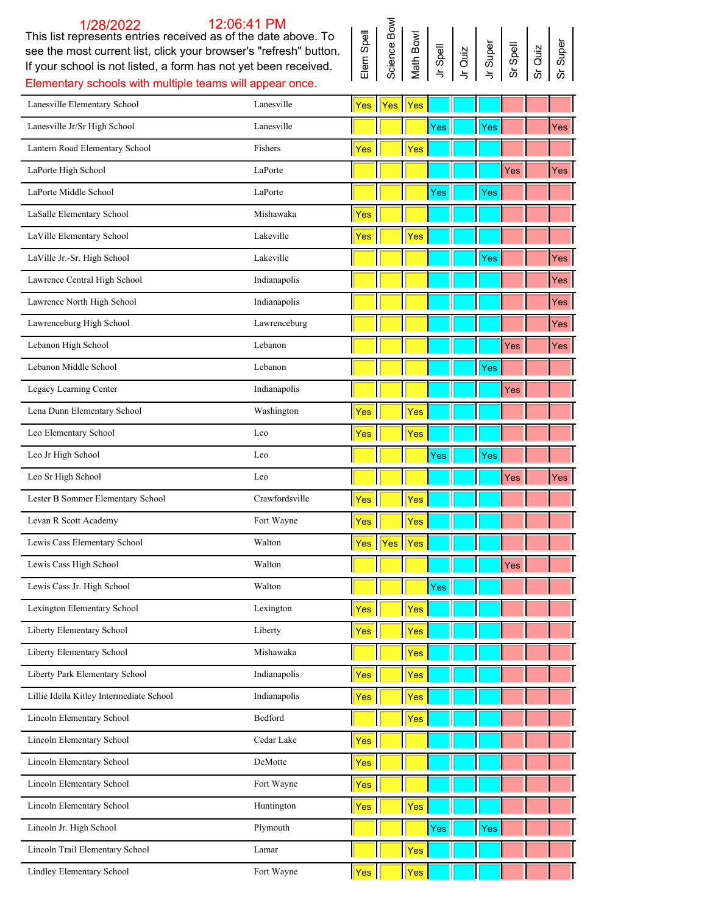| see the most current list, click your browser's "refresh" button.<br>If your school is not listed, a form has not yet been received.<br>Elementary schools with multiple teams will appear once. |                | w<br>Elem | Science  | Math B   | Jr Spel | Quiz<br>$\overline{5}$ | Supe<br>$\overline{5}$ | Spel<br>ທັ | Guiz<br>ທັ | Supe<br>ທັ   |
|--------------------------------------------------------------------------------------------------------------------------------------------------------------------------------------------------|----------------|-----------|----------|----------|---------|------------------------|------------------------|------------|------------|--------------|
| Lanesville Elementary School                                                                                                                                                                     | Lanesville     | Yes       | $  $ Yes | $  $ Yes |         |                        |                        |            |            |              |
| Lanesville Jr/Sr High School                                                                                                                                                                     | Lanesville     |           |          |          | Yes     |                        | Yes                    |            |            | Yes          |
| Lantern Road Elementary School                                                                                                                                                                   | Fishers        | Yes       |          | Yes      |         |                        |                        |            |            |              |
| LaPorte High School                                                                                                                                                                              | LaPorte        |           |          |          |         |                        |                        | Yes        |            | $ {\sf Yes}$ |
| LaPorte Middle School                                                                                                                                                                            | LaPorte        |           |          |          | Yes     |                        | Yes                    |            |            |              |
| LaSalle Elementary School                                                                                                                                                                        | Mishawaka      | Yes       |          |          |         |                        |                        |            |            |              |
| LaVille Elementary School                                                                                                                                                                        | Lakeville      | Yes       |          | Yes      |         |                        |                        |            |            |              |
| LaVille Jr.-Sr. High School                                                                                                                                                                      | Lakeville      |           |          |          |         |                        | Yes                    |            |            | Yes          |
| Lawrence Central High School                                                                                                                                                                     | Indianapolis   |           |          |          |         |                        |                        |            |            | $ {\sf Yes}$ |
| Lawrence North High School                                                                                                                                                                       | Indianapolis   |           |          |          |         |                        |                        |            |            | $ {\sf Yes}$ |
| Lawrenceburg High School                                                                                                                                                                         | Lawrenceburg   |           |          |          |         |                        |                        |            |            | Yes          |
| Lebanon High School                                                                                                                                                                              | Lebanon        |           |          |          |         |                        |                        | Yes        |            | Yes          |
| Lebanon Middle School                                                                                                                                                                            | Lebanon        |           |          |          |         |                        | Yes                    |            |            |              |
| Legacy Learning Center                                                                                                                                                                           | Indianapolis   |           |          |          |         |                        |                        | Yes        |            |              |
| Lena Dunn Elementary School                                                                                                                                                                      | Washington     | Yes       |          | Yes      |         |                        |                        |            |            |              |
| Leo Elementary School                                                                                                                                                                            | Leo            | Yes       |          | Yes      |         |                        |                        |            |            |              |
| Leo Jr High School                                                                                                                                                                               | Leo            |           |          |          | Yes     |                        | Yes                    |            |            |              |
| Leo Sr High School                                                                                                                                                                               | Leo            |           |          |          |         |                        |                        | Yes        |            | $ {\sf Yes}$ |
| Lester B Sommer Elementary School                                                                                                                                                                | Crawfordsville | Yes       |          | Yes      |         |                        |                        |            |            |              |
| Levan R Scott Academy                                                                                                                                                                            | Fort Wayne     | Yes       |          | Yes      |         |                        |                        |            |            |              |
| Lewis Cass Elementary School                                                                                                                                                                     | Walton         | Yes       | Yes      | Yes      |         |                        |                        |            |            |              |
| Lewis Cass High School                                                                                                                                                                           | Walton         |           |          |          |         |                        | Ш                      | ∥Yes       |            |              |
| Lewis Cass Jr. High School                                                                                                                                                                       | Walton         |           |          |          | Yes     |                        |                        |            |            |              |
| Lexington Elementary School                                                                                                                                                                      | Lexington      | Yes       |          | Yes      |         |                        |                        |            |            |              |
| Liberty Elementary School                                                                                                                                                                        | Liberty        | Yes       |          | Yes      |         |                        |                        |            |            |              |
| Liberty Elementary School                                                                                                                                                                        | Mishawaka      |           |          | Yes      |         |                        |                        |            |            |              |
| Liberty Park Elementary School                                                                                                                                                                   | Indianapolis   | Yes       |          | Yes      |         |                        |                        |            |            |              |
| Lillie Idella Kitley Intermediate School                                                                                                                                                         | Indianapolis   | Yes       |          | Yes      |         |                        |                        |            |            |              |
| Lincoln Elementary School                                                                                                                                                                        | Bedford        |           |          | Yes      |         |                        |                        |            |            |              |
| Lincoln Elementary School                                                                                                                                                                        | Cedar Lake     | Yes       |          |          |         |                        |                        |            |            |              |
| Lincoln Elementary School                                                                                                                                                                        | DeMotte        | Yes       |          |          |         |                        |                        |            |            |              |
| Lincoln Elementary School                                                                                                                                                                        | Fort Wayne     | Yes       |          |          |         |                        |                        |            |            |              |
| Lincoln Elementary School                                                                                                                                                                        | Huntington     | Yes       |          | Yes      |         |                        |                        |            |            |              |

Lincoln Jr. High School Plymouth Plymouth Plymouth Plymouth Plymouth Plymouth Plymouth Plymouth Plymouth Plymouth Plymouth Plymouth Plymouth Plymouth Plymouth Plymouth Plymouth Plymouth Plymouth Plymouth Plymouth Plymouth

Lincoln Trail Elementary School Lamar Lamar Ves

### This list represents entries received as of the date above. To

1/28/2022 12:06:41 PM

Elem Spell<br>Science Bowl<br>Math Bowl<br>Jr Super<br>Jr Super<br>Jr Super Science Bowl Sr Quiz Sr Super

Lindley Elementary School Fort Wayne Fort Wayne Yes Yes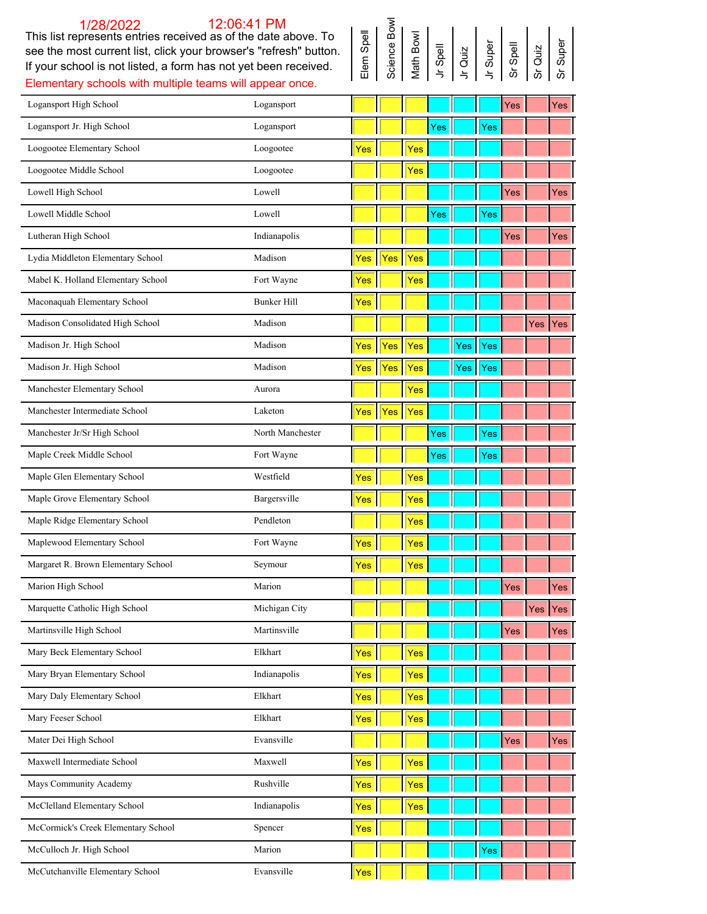This list represents entries received as of the date above. To see the most current list, click your browser's "refresh" button. If your school is not listed, a form has not yet been received. Elementary schools with multiple teams will appear once.

|  |  | Elem Spell<br>Science Bowl<br>Science Bowl<br>Math Bowl<br>J. Guiz<br>J. Super<br>S. Quiz<br>S. Quiz<br>S. Quiz<br>S. Quiz<br>S. Quiz<br>S. Quiz<br>S. Quiz<br>S. Quiz<br>S. Quiz<br>S. Quiz<br>S. Quiz<br>S. Quiz<br>S. Quiz<br>S. Quiz<br>S. Quiz<br>S. Quiz<br>S. Quiz |  |  |
|--|--|---------------------------------------------------------------------------------------------------------------------------------------------------------------------------------------------------------------------------------------------------------------------------|--|--|
|  |  |                                                                                                                                                                                                                                                                           |  |  |

| Logansport High School              | Logansport       |     |            |            |     |     |     | Yes |     | Yes          |
|-------------------------------------|------------------|-----|------------|------------|-----|-----|-----|-----|-----|--------------|
| Logansport Jr. High School          | Logansport       |     |            |            | Yes |     | Yes |     |     |              |
| Loogootee Elementary School         | Loogootee        | Yes |            | Yes        |     |     |     |     |     |              |
| Loogootee Middle School             | Loogootee        |     |            | Yes        |     |     |     |     |     |              |
| Lowell High School                  | Lowell           |     |            |            |     |     |     | Yes |     | Yes          |
| Lowell Middle School                | Lowell           |     |            |            | Yes |     | Yes |     |     |              |
| Lutheran High School                | Indianapolis     |     |            |            |     |     |     | Yes |     | Yes          |
| Lydia Middleton Elementary School   | Madison          | Yes | Yes        | Yes        |     |     |     |     |     |              |
| Mabel K. Holland Elementary School  | Fort Wayne       | Yes |            | Yes        |     |     |     |     |     |              |
| Maconaquah Elementary School        | Bunker Hill      | Yes |            |            |     |     |     |     |     |              |
| Madison Consolidated High School    | Madison          |     |            |            |     |     |     |     | Yes | Yes          |
| Madison Jr. High School             | Madison          | Yes | <b>Yes</b> | Yes        |     | Yes | Yes |     |     |              |
| Madison Jr. High School             | Madison          | Yes | Yes        | Yes        |     | Yes | Yes |     |     |              |
| Manchester Elementary School        | Aurora           |     |            | Yes        |     |     |     |     |     |              |
| Manchester Intermediate School      | Laketon          | Yes | Yes        | Yes        |     |     |     |     |     |              |
| Manchester Jr/Sr High School        | North Manchester |     |            |            | Yes |     | Yes |     |     |              |
| Maple Creek Middle School           | Fort Wayne       |     |            |            | Yes |     | Yes |     |     |              |
| Maple Glen Elementary School        | Westfield        | Yes |            | Yes        |     |     |     |     |     |              |
| Maple Grove Elementary School       | Bargersville     | Yes |            | Yes        |     |     |     |     |     |              |
| Maple Ridge Elementary School       | Pendleton        |     |            | Yes        |     |     |     |     |     |              |
| Maplewood Elementary School         | Fort Wayne       | Yes |            | Yes        |     |     |     |     |     |              |
| Margaret R. Brown Elementary School | Seymour          | Yes |            | Yes        |     |     |     |     |     |              |
| Marion High School                  | Marion           |     |            |            |     |     |     | Yes |     | Yes          |
| Marquette Catholic High School      | Michigan City    |     |            |            |     |     |     |     | Yes | <b>I</b> Yes |
| Martinsville High School            | Martinsville     |     |            |            |     |     |     | Yes |     | Yes          |
| Mary Beck Elementary School         | Elkhart          | Yes |            | Yes        |     |     |     |     |     |              |
| Mary Bryan Elementary School        | Indianapolis     | Yes |            | Yes        |     |     |     |     |     |              |
| Mary Daly Elementary School         | Elkhart          | Yes |            | Yes        |     |     |     |     |     |              |
| Mary Feeser School                  | Elkhart          | Yes |            | Yes        |     |     |     |     |     |              |
| Mater Dei High School               | Evansville       |     |            |            |     |     |     | Yes |     | Yes          |
| Maxwell Intermediate School         | Maxwell          | Yes |            | <b>Yes</b> |     |     |     |     |     |              |
| Mays Community Academy              | Rushville        | Yes |            | Yes        |     |     |     |     |     |              |
| McClelland Elementary School        | Indianapolis     | Yes |            | Yes        |     |     |     |     |     |              |
| McCormick's Creek Elementary School | Spencer          | Yes |            |            |     |     |     |     |     |              |
| McCulloch Jr. High School           | Marion           |     |            |            |     |     | Yes |     |     |              |
| McCutchanville Elementary School    | Evansville       | Yes |            |            |     |     |     |     |     |              |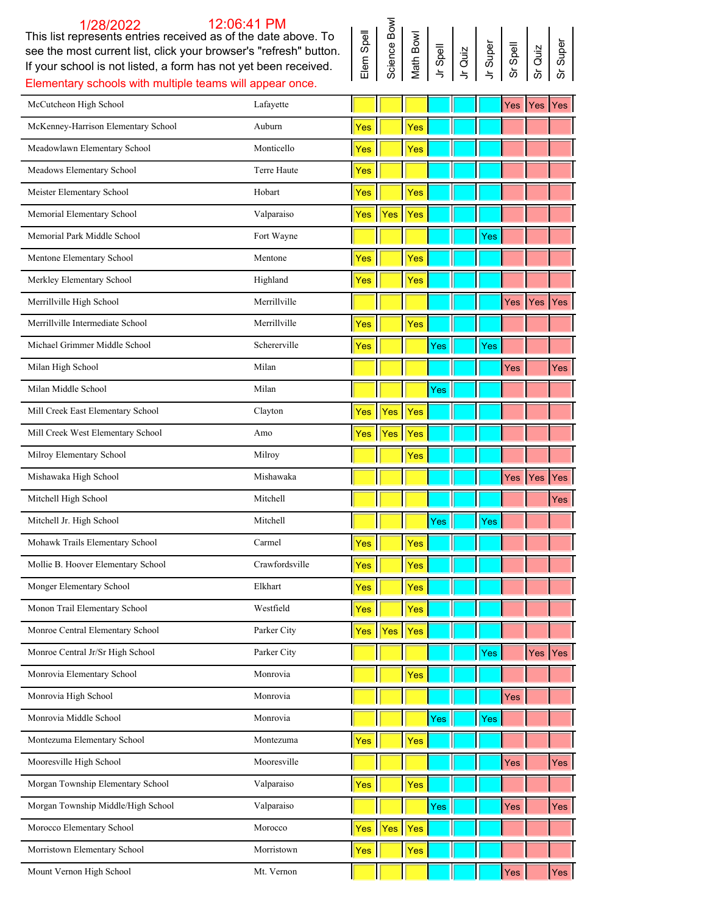This list represents entries received as of the date above. To see the most current list, click your browser's "refresh" button. If your school is not listed, a form has not yet been received. Elementary schools with multiple teams will appear once.

|  |  |  |  |  |  | Elem Spell<br>Science Bowl<br>Science Bowl<br>Math Bowl<br>Jr Quiz<br>Jr Super<br>Sr Spell<br>Sr Quiz<br>Sr Super<br>Sr Super<br>Sr Spell |  |  |
|--|--|--|--|--|--|-------------------------------------------------------------------------------------------------------------------------------------------|--|--|
|--|--|--|--|--|--|-------------------------------------------------------------------------------------------------------------------------------------------|--|--|

| McCutcheon High School              | Lafayette      |            |             |     |     |   |     |         | Yes Yes Yes |            |
|-------------------------------------|----------------|------------|-------------|-----|-----|---|-----|---------|-------------|------------|
| McKenney-Harrison Elementary School | Auburn         | Yes        |             | Yes |     |   |     |         |             |            |
| Meadowlawn Elementary School        | Monticello     | Yes        |             | Yes |     |   |     |         |             |            |
| Meadows Elementary School           | Terre Haute    | Yes        |             |     |     |   |     |         |             |            |
| Meister Elementary School           | Hobart         | Yes        |             | Yes |     |   |     |         |             |            |
| Memorial Elementary School          | Valparaiso     | Yes        | <b>Yes</b>  | Yes |     |   |     |         |             |            |
| Memorial Park Middle School         | Fort Wayne     |            |             |     |     |   | Yes |         |             |            |
| Mentone Elementary School           | Mentone        | Yes        |             | Yes |     |   |     |         |             |            |
| Merkley Elementary School           | Highland       | Yes        |             | Yes |     |   |     |         |             |            |
| Merrillville High School            | Merrillville   |            |             |     |     |   |     | Yes Yes |             | Yes        |
| Merrillville Intermediate School    | Merrillville   | Yes        |             | Yes |     |   |     |         |             |            |
| Michael Grimmer Middle School       | Schererville   | Yes        |             |     | Yes |   | Yes |         |             |            |
| Milan High School                   | Milan          |            |             |     |     |   |     | Yes     |             | Yes        |
| Milan Middle School                 | Milan          |            |             |     | Yes |   |     |         |             |            |
| Mill Creek East Elementary School   | Clayton        | Yes        | Yes         | Yes |     |   |     |         |             |            |
| Mill Creek West Elementary School   | Amo            | Yes        | Yes         | Yes |     |   |     |         |             |            |
| Milroy Elementary School            | Milroy         |            |             | Yes |     |   |     |         |             |            |
| Mishawaka High School               | Mishawaka      |            |             |     |     |   |     | Yes Yes |             | Yes        |
| Mitchell High School                | Mitchell       |            |             |     |     |   |     |         |             | Yes        |
| Mitchell Jr. High School            | Mitchell       |            |             |     | Yes |   | Yes |         |             |            |
| Mohawk Trails Elementary School     | Carmel         | Yes        |             | Yes |     |   |     |         |             |            |
| Mollie B. Hoover Elementary School  | Crawfordsville | Yes        |             | Yes |     |   |     |         |             |            |
| Monger Elementary School            | Elkhart        | Yes        |             | Yes |     |   |     |         |             |            |
| Monon Trail Elementary School       | Westfield      | Yes        |             | Yes |     | Ш | Ш   |         |             |            |
| Monroe Central Elementary School    | Parker City    |            | Yes Yes Yes |     |     |   |     |         |             |            |
| Monroe Central Jr/Sr High School    | Parker City    |            |             |     |     |   | Yes |         | <b>Yes</b>  | <b>Yes</b> |
| Monrovia Elementary School          | Monrovia       |            |             | Yes |     |   |     |         |             |            |
| Monrovia High School                | Monrovia       |            |             |     |     |   |     | Yes     |             |            |
| Monrovia Middle School              | Monrovia       |            |             |     | Yes |   | Yes |         |             |            |
| Montezuma Elementary School         | Montezuma      | Yes        |             | Yes |     |   |     |         |             |            |
| Mooresville High School             | Mooresville    |            |             |     |     |   |     | Yes     |             | Yes        |
| Morgan Township Elementary School   | Valparaiso     | Yes        |             | Yes |     |   |     |         |             |            |
| Morgan Township Middle/High School  | Valparaiso     |            |             |     | Yes |   |     | Yes     |             | Yes        |
| Morocco Elementary School           | Morocco        | <b>Yes</b> | <b>Yes</b>  | Yes |     |   |     |         |             |            |
| Morristown Elementary School        | Morristown     | Yes        |             | Yes |     |   |     |         |             |            |
| Mount Vernon High School            | Mt. Vernon     |            |             |     |     |   |     | Yes     |             | Yes        |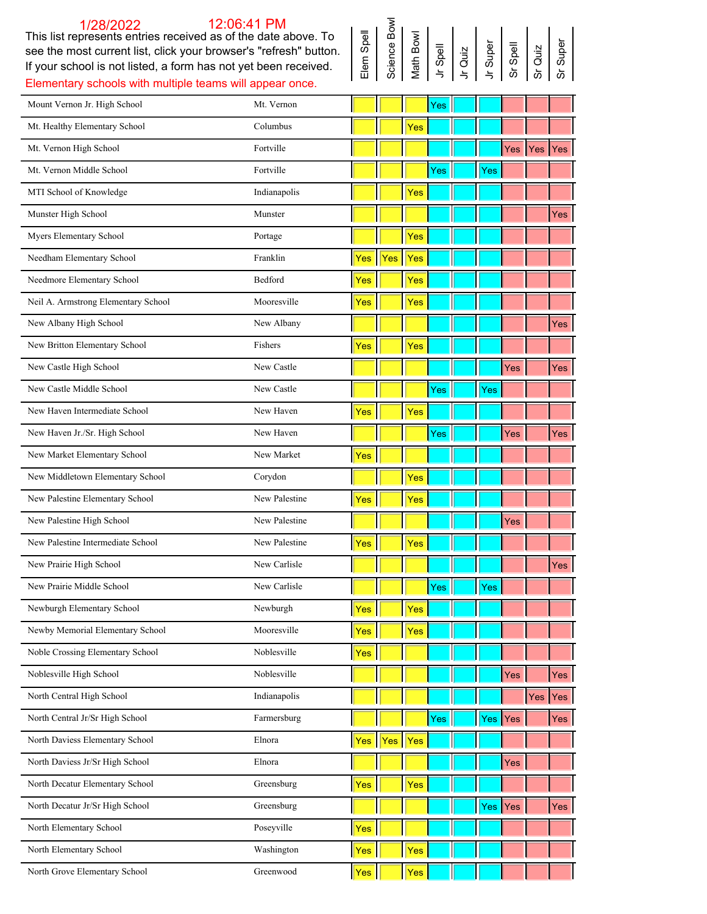| This list represents entries received as of the date above. To<br>see the most current list, click your browser's "refresh" button.<br>If your school is not listed, a form has not yet been received. |               | Elem Spell | Science Bo | Math Bowl | Spell<br>$\overline{z}$ | Jr Quiz | Jr Super | Spell<br>ທັ | Quiz       | Super |
|--------------------------------------------------------------------------------------------------------------------------------------------------------------------------------------------------------|---------------|------------|------------|-----------|-------------------------|---------|----------|-------------|------------|-------|
| Elementary schools with multiple teams will appear once.<br>Mount Vernon Jr. High School                                                                                                               | Mt. Vernon    |            |            |           |                         |         |          |             |            |       |
|                                                                                                                                                                                                        |               |            |            |           | Yes                     |         |          |             |            |       |
| Mt. Healthy Elementary School                                                                                                                                                                          | Columbus      |            |            | Yes       |                         |         |          |             |            |       |
| Mt. Vernon High School                                                                                                                                                                                 | Fortville     |            |            |           |                         |         |          | Yes         | <b>Yes</b> | Yes   |
| Mt. Vernon Middle School                                                                                                                                                                               | Fortville     |            |            |           | Yes                     |         | Yes      |             |            |       |
| MTI School of Knowledge                                                                                                                                                                                | Indianapolis  |            |            | Yes       |                         |         |          |             |            |       |
| Munster High School                                                                                                                                                                                    | Munster       |            |            |           |                         |         |          |             |            | Yes   |
| Myers Elementary School                                                                                                                                                                                | Portage       |            |            | Yes       |                         |         |          |             |            |       |
| Needham Elementary School                                                                                                                                                                              | Franklin      | Yes        | Yes        | Yes       |                         |         |          |             |            |       |
| Needmore Elementary School                                                                                                                                                                             | Bedford       | Yes        |            | Yes       |                         |         |          |             |            |       |
| Neil A. Armstrong Elementary School                                                                                                                                                                    | Mooresville   | Yes        |            | Yes       |                         |         |          |             |            |       |
| New Albany High School                                                                                                                                                                                 | New Albany    |            |            |           |                         |         |          |             |            | Yes   |
| New Britton Elementary School                                                                                                                                                                          | Fishers       | Yes        |            | Yes       |                         |         |          |             |            |       |
| New Castle High School                                                                                                                                                                                 | New Castle    |            |            |           |                         |         |          | Yes         |            | Yes   |
| New Castle Middle School                                                                                                                                                                               | New Castle    |            |            |           | Yes                     |         | Yes      |             |            |       |
| New Haven Intermediate School                                                                                                                                                                          | New Haven     | Yes        |            | Yes       |                         |         |          |             |            |       |
| New Haven Jr./Sr. High School                                                                                                                                                                          | New Haven     |            |            |           | Yes                     |         |          | Yes         |            | Yes   |
| New Market Elementary School                                                                                                                                                                           | New Market    | Yes        |            |           |                         |         |          |             |            |       |
| New Middletown Elementary School                                                                                                                                                                       | Corydon       |            |            | Yes       |                         |         |          |             |            |       |
| New Palestine Elementary School                                                                                                                                                                        | New Palestine | Yes        |            | Yes       |                         |         |          |             |            |       |
| New Palestine High School                                                                                                                                                                              | New Palestine |            |            |           |                         |         |          | Yes         |            |       |
| New Palestine Intermediate School                                                                                                                                                                      | New Palestine | <b>Yes</b> |            | Yes       |                         |         |          |             |            |       |
| New Prairie High School                                                                                                                                                                                | New Carlisle  |            |            |           |                         |         |          |             |            | Yes   |
| New Prairie Middle School                                                                                                                                                                              | New Carlisle  |            |            |           | Yes                     |         | Yes      |             |            |       |
| Newburgh Elementary School                                                                                                                                                                             | Newburgh      | Yes        |            | Yes       |                         |         |          |             |            |       |
| Newby Memorial Elementary School                                                                                                                                                                       | Mooresville   | Yes        |            | Yes       |                         |         |          |             |            |       |
| Noble Crossing Elementary School                                                                                                                                                                       | Noblesville   | Yes        |            |           |                         |         |          |             |            |       |
| Noblesville High School                                                                                                                                                                                | Noblesville   |            |            |           |                         |         |          | Yes         |            | Yes   |
| North Central High School                                                                                                                                                                              | Indianapolis  |            |            |           |                         |         |          |             | Yes        | Yes   |
| North Central Jr/Sr High School                                                                                                                                                                        | Farmersburg   |            |            |           | Yes                     |         | Yes Yes  |             |            | Yes   |
| North Daviess Elementary School                                                                                                                                                                        | Elnora        | <b>Yes</b> | Yes        | Yes       |                         |         |          |             |            |       |
| North Daviess Jr/Sr High School                                                                                                                                                                        | Elnora        |            |            |           |                         |         |          | Yes         |            |       |
| North Decatur Elementary School                                                                                                                                                                        | Greensburg    | Yes        |            | Yes       |                         |         |          |             |            |       |
| North Decatur Jr/Sr High School                                                                                                                                                                        | Greensburg    |            |            |           |                         |         | Yes      | Yes         |            | Yes   |
| North Elementary School                                                                                                                                                                                | Poseyville    | Yes        |            |           |                         |         |          |             |            |       |
| North Elementary School                                                                                                                                                                                | Washington    | Yes        |            | Yes       |                         |         |          |             |            |       |
|                                                                                                                                                                                                        |               |            |            |           |                         |         |          |             |            |       |

North Grove Elementary School Greenwood Greenwood Yes Yes

### 1/28/2022 12:06:41 PM

## Science Bowl

Ш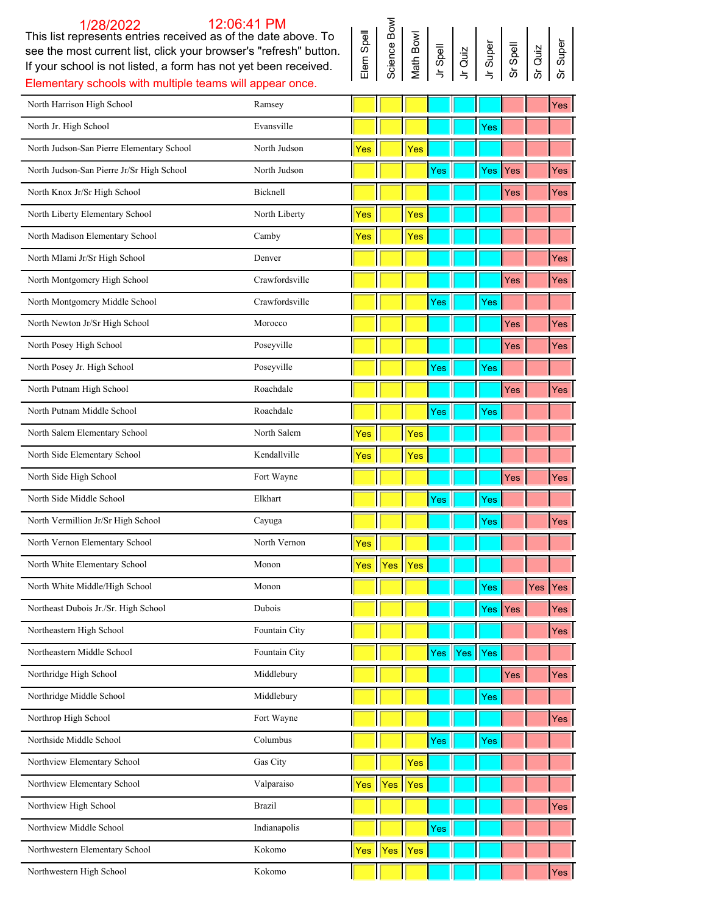### Science Bowl 1/28/2022 12:06:41 PM Science Bowl Elem Spell Math Bowl Jr Super Jr Spell Jr Quiz Elementary schools with multiple teams will appear once. North Harrison High School Ramsey Yes North Jr. High School Evansville Evansville News Text of Text Ves North Judson-San Pierre Elementary School North Judson **Yes** Yes

Sr Spell

Sr Quiz

Sr Super

| North Judson-San Pierre Jr/Sr High School | North Judson   |            |                          |            | Yes |     |     | Yes Yes    |         | Yes |
|-------------------------------------------|----------------|------------|--------------------------|------------|-----|-----|-----|------------|---------|-----|
| North Knox Jr/Sr High School              | Bicknell       |            |                          |            |     |     |     | <b>Yes</b> |         | Yes |
| North Liberty Elementary School           | North Liberty  | Yes        |                          | Yes        |     |     |     |            |         |     |
| North Madison Elementary School           | Camby          | Yes        |                          | Yes        |     |     |     |            |         |     |
| North MIami Jr/Sr High School             | Denver         |            |                          |            |     |     |     |            |         | Yes |
| North Montgomery High School              | Crawfordsville |            |                          |            |     |     |     | Yes        |         | Yes |
| North Montgomery Middle School            | Crawfordsville |            |                          |            | Yes |     | Yes |            |         |     |
| North Newton Jr/Sr High School            | Morocco        |            |                          |            |     |     |     | Yes        |         | Yes |
| North Posey High School                   | Poseyville     |            |                          |            |     |     |     | Yes        |         | Yes |
| North Posey Jr. High School               | Poseyville     |            |                          |            | Yes |     | Yes |            |         |     |
| North Putnam High School                  | Roachdale      |            |                          |            |     |     |     | Yes        |         | Yes |
| North Putnam Middle School                | Roachdale      |            |                          |            | Yes |     | Yes |            |         |     |
| North Salem Elementary School             | North Salem    | Yes        |                          | Yes        |     |     |     |            |         |     |
| North Side Elementary School              | Kendallville   | Yes        |                          | Yes        |     |     |     |            |         |     |
| North Side High School                    | Fort Wayne     |            |                          |            |     |     |     | Yes        |         | Yes |
| North Side Middle School                  | Elkhart        |            |                          |            | Yes |     | Yes |            |         |     |
| North Vermillion Jr/Sr High School        | Cayuga         |            |                          |            |     |     | Yes |            |         | Yes |
| North Vernon Elementary School            | North Vernon   | Yes        |                          |            |     |     |     |            |         |     |
| North White Elementary School             | Monon          | <b>Yes</b> | Yes                      | Yes        |     |     |     |            |         |     |
| North White Middle/High School            | Monon          |            |                          |            |     |     | Yes |            | Yes Yes |     |
| Northeast Dubois Jr./Sr. High School      | Dubois         |            |                          |            |     |     | Yes | Yes        |         | Yes |
| Northeastern High School                  | Fountain City  |            |                          |            |     |     |     |            |         | Yes |
| Northeastern Middle School                | Fountain City  |            |                          |            | Yes | Yes | Yes |            |         |     |
| Northridge High School                    | Middlebury     |            |                          |            |     |     |     | <b>Yes</b> |         | Yes |
| Northridge Middle School                  | Middlebury     |            |                          |            |     |     | Yes |            |         |     |
| Northrop High School                      | Fort Wayne     |            |                          |            |     |     |     |            |         | Yes |
| Northside Middle School                   | Columbus       |            |                          |            | Yes |     | Yes |            |         |     |
| Northview Elementary School               | Gas City       |            |                          | <b>Yes</b> |     |     |     |            |         |     |
| Northview Elementary School               | Valparaiso     | Yes        | Yes                      | Yes        |     |     |     |            |         |     |
| Northview High School                     | <b>Brazil</b>  |            |                          |            |     |     |     |            |         | Yes |
| Northview Middle School                   | Indianapolis   |            |                          |            | Yes |     |     |            |         |     |
| Northwestern Elementary School            | Kokomo         | Yes        | $\mathsf{IV}\mathsf{es}$ | <b>Yes</b> |     |     |     |            |         |     |
| Northwestern High School                  | Kokomo         |            |                          |            |     |     |     |            |         | Yes |

This list represents entries received as of the date above. To see the most current list, click your browser's "refresh" button. If your school is not listed, a form has not yet been received.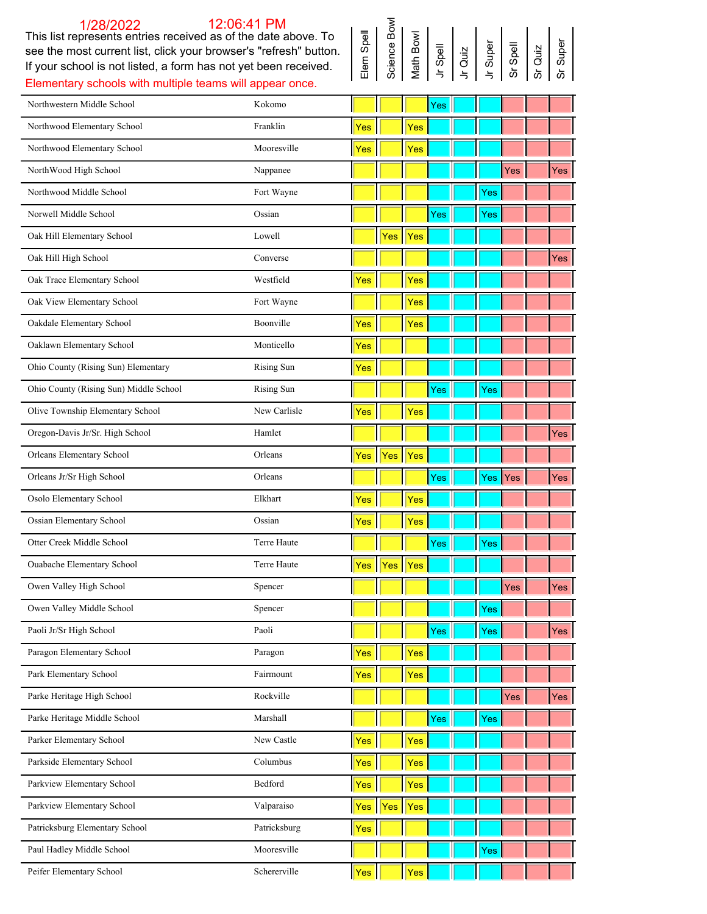### Science Bowl 1/28/2022 12:06:41 PM Science Bowl Elem Spell Math Bowl This list represents entries received as of the date above. To Jr Super Jr Spell Sr Spell Jr Quiz see the most current list, click your browser's "refresh" button. If your school is not listed, a form has not yet been received. Elementary schools with multiple teams will appear once. Northwestern Middle School Kokomo Kokomo Yes Northwood Elementary School Franklin Franklin Pres Northwood Elementary School Mooresville Mooresville Ves Yes NorthWood High School Nappanee Yes Yes Northwood Middle School **Fort Wayne** Wayne **Yes** Norwell Middle School Ossian Yes Yes Oak Hill Elementary School **Lowell** Lowell **Yes** Yes

Sr Quiz

Sr Super

| Northwood Middle School                | Fort Wayne   |            |     |            |     |   | Yes |                  |     |
|----------------------------------------|--------------|------------|-----|------------|-----|---|-----|------------------|-----|
| Norwell Middle School                  | Ossian       |            |     |            | Yes |   | Yes |                  |     |
| Oak Hill Elementary School             | Lowell       |            | Yes | Yes        |     |   |     |                  |     |
| Oak Hill High School                   | Converse     |            |     |            |     |   |     |                  | Yes |
| Oak Trace Elementary School            | Westfield    | Yes        |     | Yes        |     |   |     |                  |     |
| Oak View Elementary School             | Fort Wayne   |            |     | Yes        |     |   |     |                  |     |
| Oakdale Elementary School              | Boonville    | Yes        |     | Yes        |     |   |     |                  |     |
| Oaklawn Elementary School              | Monticello   | Yes        |     |            |     |   |     |                  |     |
| Ohio County (Rising Sun) Elementary    | Rising Sun   | Yes        |     |            |     |   |     |                  |     |
| Ohio County (Rising Sun) Middle School | Rising Sun   |            |     |            | Yes |   | Yes |                  |     |
| Olive Township Elementary School       | New Carlisle | <b>Yes</b> |     | Yes        |     |   |     |                  |     |
| Oregon-Davis Jr/Sr. High School        | Hamlet       |            |     |            |     |   |     |                  | Yes |
| Orleans Elementary School              | Orleans      | <b>Yes</b> | Yes | Yes        |     |   |     |                  |     |
| Orleans Jr/Sr High School              | Orleans      |            |     |            | Yes |   | Yes | Yes              | Yes |
| Osolo Elementary School                | Elkhart      | Yes        |     | <b>Yes</b> |     |   |     |                  |     |
| Ossian Elementary School               | Ossian       | <b>Yes</b> |     | <b>Yes</b> |     |   |     |                  |     |
| Otter Creek Middle School              | Terre Haute  |            |     |            | Yes |   | Yes |                  |     |
| Ouabache Elementary School             | Terre Haute  | Yes        | Yes | Yes        |     |   |     |                  |     |
| Owen Valley High School                | Spencer      |            |     |            |     |   |     | Yes              | Yes |
| Owen Valley Middle School              | Spencer      |            |     |            |     |   | Yes |                  |     |
| Paoli Jr/Sr High School                | Paoli        |            |     |            | Yes |   | Yes |                  | Yes |
| Paragon Elementary School              | Paragon      | Yes        |     | Yes        |     |   |     |                  |     |
| Park Elementary School                 | Fairmount    | Yes        |     | Yes        |     |   |     |                  |     |
| Parke Heritage High School             | Rockville    | I          | П   |            |     | Ш |     | $ \mathsf{Yes} $ | Yes |
| Parke Heritage Middle School           | Marshall     |            |     |            | Yes |   | Yes |                  |     |
| Parker Elementary School               | New Castle   | Yes        |     | Yes        |     |   |     |                  |     |
| Parkside Elementary School             | Columbus     | Yes        |     | Yes        |     |   |     |                  |     |
| Parkview Elementary School             | Bedford      | Yes        |     | Yes        |     |   |     |                  |     |
| Parkview Elementary School             | Valparaiso   | Yes        | Yes | Yes        |     |   |     |                  |     |
| Patricksburg Elementary School         | Patricksburg | Yes        |     |            |     |   |     |                  |     |
| Paul Hadley Middle School              | Mooresville  |            |     |            |     |   | Yes |                  |     |
| Peifer Elementary School               | Schererville | Yes        |     | Yes        |     |   |     |                  |     |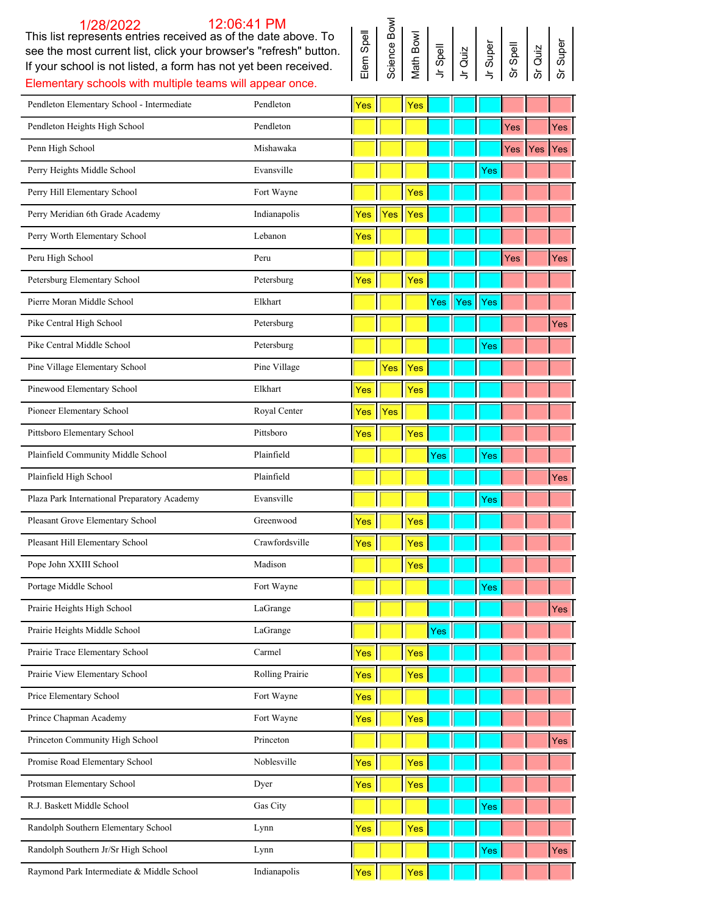| see the most current list, click your browser's "refresh" button.<br>If your school is not listed, a form has not yet been received.<br>Elementary schools with multiple teams will appear once. |                 | Elem Sp | Science | Math Bo | Spell<br>$\overline{z}$ | Quiz<br>$\overline{z}$ | Supe<br>$\overline{a}$ | Spell<br>ທັ | Quiz<br>ທັ | Supe<br>ທັ |  |
|--------------------------------------------------------------------------------------------------------------------------------------------------------------------------------------------------|-----------------|---------|---------|---------|-------------------------|------------------------|------------------------|-------------|------------|------------|--|
| Pendleton Elementary School - Intermediate                                                                                                                                                       | Pendleton       | Yes     |         | Yes     |                         |                        |                        |             |            |            |  |
| Pendleton Heights High School                                                                                                                                                                    | Pendleton       |         |         |         |                         |                        |                        | Yes         |            | Yes        |  |
| Penn High School                                                                                                                                                                                 | Mishawaka       |         |         |         |                         |                        |                        | Yes         | Yes        | Yes        |  |
| Perry Heights Middle School                                                                                                                                                                      | Evansville      |         |         |         |                         |                        | Yes                    |             |            |            |  |
| Perry Hill Elementary School                                                                                                                                                                     | Fort Wayne      |         |         | Yes     |                         |                        |                        |             |            |            |  |
| Perry Meridian 6th Grade Academy                                                                                                                                                                 | Indianapolis    | Yes     | Yes     | Yes     |                         |                        |                        |             |            |            |  |
| Perry Worth Elementary School                                                                                                                                                                    | Lebanon         | Yes     |         |         |                         |                        |                        |             |            |            |  |
| Peru High School                                                                                                                                                                                 | Peru            |         |         |         |                         |                        |                        | Yes         |            | Yes        |  |
| Petersburg Elementary School                                                                                                                                                                     | Petersburg      | Yes     |         | Yes     |                         |                        |                        |             |            |            |  |
| Pierre Moran Middle School                                                                                                                                                                       | Elkhart         |         |         |         | Yes                     | $\ $ Yes               | $  $ Yes               |             |            |            |  |
| Pike Central High School                                                                                                                                                                         | Petersburg      |         |         |         |                         |                        |                        |             |            | Yes        |  |
| Pike Central Middle School                                                                                                                                                                       | Petersburg      |         |         |         |                         |                        | Yes                    |             |            |            |  |
| Pine Village Elementary School                                                                                                                                                                   | Pine Village    |         | Yes     | Yes     |                         |                        |                        |             |            |            |  |
| Pinewood Elementary School                                                                                                                                                                       | Elkhart         | Yes     |         | Yes     |                         |                        |                        |             |            |            |  |
| Pioneer Elementary School                                                                                                                                                                        | Royal Center    | Yes     | Yes     |         |                         |                        |                        |             |            |            |  |
| Pittsboro Elementary School                                                                                                                                                                      | Pittsboro       | Yes     |         | Yes     |                         |                        |                        |             |            |            |  |
| Plainfield Community Middle School                                                                                                                                                               | Plainfield      |         |         |         | Yes                     |                        | Yes                    |             |            |            |  |
| Plainfield High School                                                                                                                                                                           | Plainfield      |         |         |         |                         |                        |                        |             |            | Yes        |  |
| Plaza Park International Preparatory Academy                                                                                                                                                     | Evansville      |         |         |         |                         |                        | Yes                    |             |            |            |  |
| Pleasant Grove Elementary School                                                                                                                                                                 | Greenwood       | Yes     |         | Yes     |                         |                        |                        |             |            |            |  |
| Pleasant Hill Elementary School                                                                                                                                                                  | Crawfordsville  | Yes     |         | Yes     |                         |                        |                        |             |            |            |  |
| Pope John XXIII School                                                                                                                                                                           | Madison         |         |         | Yes     |                         |                        |                        |             |            |            |  |
| Portage Middle School                                                                                                                                                                            | Fort Wayne      |         |         |         |                         |                        | Yes                    |             |            |            |  |
| Prairie Heights High School                                                                                                                                                                      | LaGrange        |         |         |         |                         |                        |                        |             |            | Yes        |  |
| Prairie Heights Middle School                                                                                                                                                                    | LaGrange        |         |         |         | Yes                     |                        |                        |             |            |            |  |
| Prairie Trace Elementary School                                                                                                                                                                  | Carmel          | Yes     |         | Yes     |                         |                        |                        |             |            |            |  |
| Prairie View Elementary School                                                                                                                                                                   | Rolling Prairie | Yes     |         | Yes     |                         |                        |                        |             |            |            |  |
| Price Elementary School                                                                                                                                                                          | Fort Wayne      | Yes     |         |         |                         |                        |                        |             |            |            |  |
| Prince Chapman Academy                                                                                                                                                                           | Fort Wayne      | Yes     |         | Yes     |                         |                        |                        |             |            |            |  |
| Princeton Community High School                                                                                                                                                                  | Princeton       |         |         |         |                         |                        |                        |             |            | Yes        |  |
| Promise Road Elementary School                                                                                                                                                                   | Noblesville     | Yes     |         | Yes     |                         |                        |                        |             |            |            |  |
| Protsman Elementary School                                                                                                                                                                       | Dyer            | Yes     |         | Yes     |                         |                        |                        |             |            |            |  |
| R.J. Baskett Middle School                                                                                                                                                                       | Gas City        |         |         |         |                         |                        | Yes                    |             |            |            |  |
| Randolph Southern Elementary School                                                                                                                                                              | Lynn            | Yes     |         | Yes     |                         |                        |                        |             |            |            |  |
| Randolph Southern Jr/Sr High School                                                                                                                                                              | Lynn            |         |         |         |                         |                        | Yes                    |             |            | Yes        |  |
| Raymond Park Intermediate & Middle School                                                                                                                                                        | Indianapolis    | Yes     |         | Yes     |                         |                        |                        |             |            |            |  |

This list represents entries received as of the date above. To

|  | $\begin{tabular}{ c c c c } \hline \text{Item Spall} & \text{Spines} \\ \hline \text{Science } \text{Bound} & \text{Mott} \\ \hline \text{Math } \text{Bound} & \text{I} & \text{Mott} \\ \hline \text{Mott } \text{H} & \text{Mott } \text{Mott } \text{Mott } \text{Mott } \text{Mott } \text{Mott } \text{Mott } \text{Mott } \text{Mott } \text{Mott } \text{Mott } \text{Mott } \text{Mott } \text{Mott } \text{Mott } \text{Mott } \text{Mott } \text{Mott } \text{Mott } \text{Mott } \text{$ |  |  |  |  |  |  |  |
|--|------------------------------------------------------------------------------------------------------------------------------------------------------------------------------------------------------------------------------------------------------------------------------------------------------------------------------------------------------------------------------------------------------------------------------------------------------------------------------------------------------|--|--|--|--|--|--|--|
|--|------------------------------------------------------------------------------------------------------------------------------------------------------------------------------------------------------------------------------------------------------------------------------------------------------------------------------------------------------------------------------------------------------------------------------------------------------------------------------------------------------|--|--|--|--|--|--|--|

Raymond Park Intermediate & Middle School Indianapolis Ves Yes Yes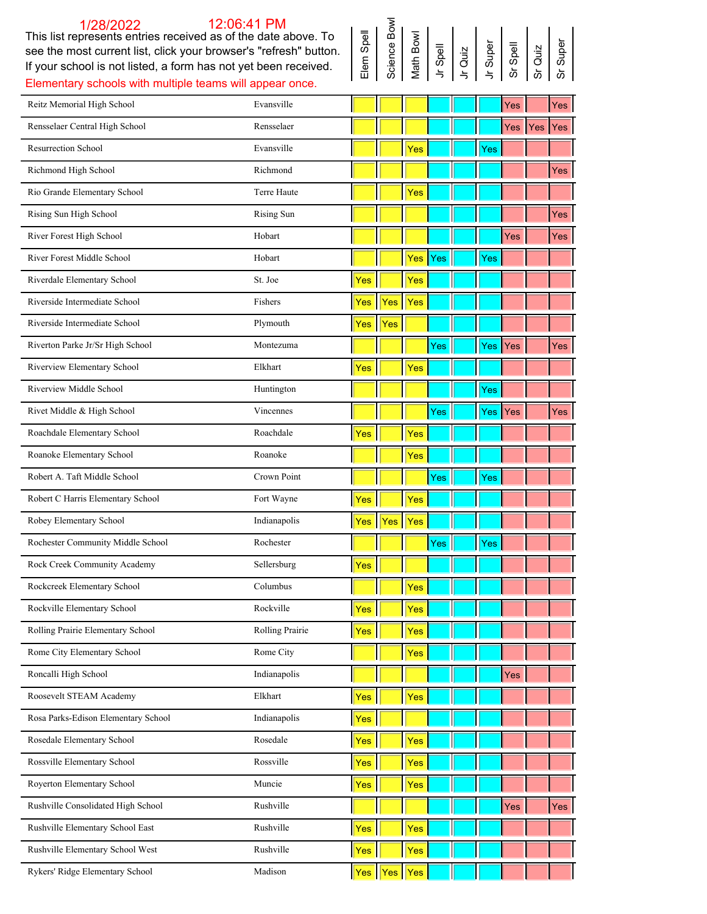| see the most current list, click your browser's "refresh" button.<br>If your school is not listed, a form has not yet been received.<br>Elementary schools with multiple teams will appear once. |                 | Elem Sp | Science | Math Bo | Spell<br>$\overline{z}$ | Jr Quiz | Supe<br>$\overline{z}$ | Spell<br>ທັ | Quiz<br>ທັ | Supe |
|--------------------------------------------------------------------------------------------------------------------------------------------------------------------------------------------------|-----------------|---------|---------|---------|-------------------------|---------|------------------------|-------------|------------|------|
| Reitz Memorial High School                                                                                                                                                                       | Evansville      |         |         |         |                         |         |                        | Yes         |            | Yes  |
| Rensselaer Central High School                                                                                                                                                                   | Rensselaer      |         |         |         |                         |         |                        |             | Yes Yes    | Yes  |
| Resurrection School                                                                                                                                                                              | Evansville      |         |         | Yes     |                         |         | Yes                    |             |            |      |
| Richmond High School                                                                                                                                                                             | Richmond        |         |         |         |                         |         |                        |             |            | Yes  |
| Rio Grande Elementary School                                                                                                                                                                     | Terre Haute     |         |         | Yes     |                         |         |                        |             |            |      |
| Rising Sun High School                                                                                                                                                                           | Rising Sun      |         |         |         |                         |         |                        |             |            | Yes  |
| River Forest High School                                                                                                                                                                         | Hobart          |         |         |         |                         |         |                        | Yes         |            | Yes  |
| River Forest Middle School                                                                                                                                                                       | Hobart          |         |         | Yes     | Yes                     |         | Yes                    |             |            |      |
| Riverdale Elementary School                                                                                                                                                                      | St. Joe         | Yes     |         | Yes     |                         |         |                        |             |            |      |
| Riverside Intermediate School                                                                                                                                                                    | Fishers         | Yes     | Yes     | Yes     |                         |         |                        |             |            |      |
| Riverside Intermediate School                                                                                                                                                                    | Plymouth        | Yes     | Yes     |         |                         |         |                        |             |            |      |
| Riverton Parke Jr/Sr High School                                                                                                                                                                 | Montezuma       |         |         |         | Yes                     |         | Yes                    | Yes         |            | Yes  |
| Riverview Elementary School                                                                                                                                                                      | Elkhart         | Yes     |         | Yes     |                         |         |                        |             |            |      |
| Riverview Middle School                                                                                                                                                                          | Huntington      |         |         |         |                         |         | Yes                    |             |            |      |
| Rivet Middle & High School                                                                                                                                                                       | Vincennes       |         |         |         | Yes                     |         | Yes                    | <b>Yes</b>  |            | Yes  |
| Roachdale Elementary School                                                                                                                                                                      | Roachdale       | Yes     |         | Yes     |                         |         |                        |             |            |      |
| Roanoke Elementary School                                                                                                                                                                        | Roanoke         |         |         | Yes     |                         |         |                        |             |            |      |
| Robert A. Taft Middle School                                                                                                                                                                     | Crown Point     |         |         |         | Yes                     |         | Yes                    |             |            |      |
| Robert C Harris Elementary School                                                                                                                                                                | Fort Wayne      | Yes     |         | Yes     |                         |         |                        |             |            |      |
| Robey Elementary School                                                                                                                                                                          | Indianapolis    | Yes     | Yes     | Yes     |                         |         |                        |             |            |      |
| Rochester Community Middle School                                                                                                                                                                | Rochester       |         |         |         | Yes                     |         | Yes                    |             |            |      |
| Rock Creek Community Academy                                                                                                                                                                     | Sellersburg     | Yes     |         |         |                         |         |                        |             |            |      |
| Rockcreek Elementary School                                                                                                                                                                      | Columbus        |         |         | Yes     |                         |         |                        |             |            |      |
| Rockville Elementary School                                                                                                                                                                      | Rockville       | Yes     |         | Yes     |                         |         |                        |             |            |      |
| Rolling Prairie Elementary School                                                                                                                                                                | Rolling Prairie | Yes     |         | Yes     |                         |         |                        |             |            |      |
| Rome City Elementary School                                                                                                                                                                      | Rome City       |         |         | Yes     |                         |         |                        |             |            |      |
| Roncalli High School                                                                                                                                                                             | Indianapolis    |         |         |         |                         |         |                        | Yes         |            |      |
| Roosevelt STEAM Academy                                                                                                                                                                          | Elkhart         | Yes     |         | Yes     |                         |         |                        |             |            |      |
| Rosa Parks-Edison Elementary School                                                                                                                                                              | Indianapolis    | Yes     |         |         |                         |         |                        |             |            |      |
| Rosedale Elementary School                                                                                                                                                                       | Rosedale        | Yes     |         | Yes     |                         |         |                        |             |            |      |
| Rossville Elementary School                                                                                                                                                                      | Rossville       | Yes     |         | Yes     |                         |         |                        |             |            |      |
| Royerton Elementary School                                                                                                                                                                       | Muncie          | Yes     |         | Yes     |                         |         |                        |             |            |      |
| Rushville Consolidated High School                                                                                                                                                               | Rushville       |         |         |         |                         |         |                        | Yes         |            | Yes  |
| Rushville Elementary School East                                                                                                                                                                 | Rushville       | Yes     |         | Yes     |                         |         |                        |             |            |      |
| Rushville Elementary School West                                                                                                                                                                 | Rushville       | Yes     |         | Yes     |                         |         |                        |             |            |      |

This list represents entries received as of the date above. To

1/28/2022 12:06:41 PM

## Elem Spell<br>
Science Bowl<br>
Math Bowl<br>
Jr Super<br>
Jr Super<br>
Sr Quiz<br>
Sr Super Science Bowl

Rykers' Ridge Elementary School Madison Madison Ves Yes Yes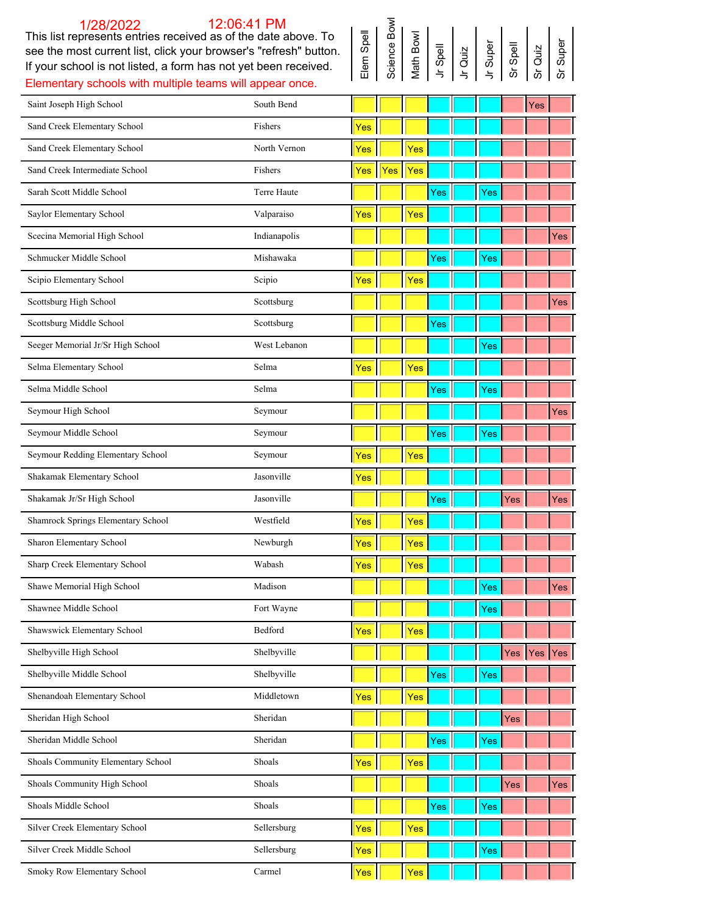This list represents entries received as of the date above. To see the most current list, click your browser's "refresh" button. If your school is not listed, a form has not yet been received. Elementary schools with multiple teams will appear once.

|  |  | Elem Spell<br>Science Bowl<br>Science Bowl<br>Math Bowl<br>J. Guiz<br>J. Super<br>S. Quiz<br>S. Quiz<br>S. Quiz<br>S. Quiz<br>S. Quiz<br>S. Quiz<br>S. Quiz<br>S. Quiz<br>S. Quiz<br>S. Quiz<br>S. Quiz<br>S. Quiz<br>S. Quiz<br>S. Quiz<br>S. Quiz<br>S. Quiz<br>S. Quiz |  |  |
|--|--|---------------------------------------------------------------------------------------------------------------------------------------------------------------------------------------------------------------------------------------------------------------------------|--|--|
|  |  |                                                                                                                                                                                                                                                                           |  |  |

| Saint Joseph High School           | South Bend   |     |     |     |     |     |     | Yes         |     |
|------------------------------------|--------------|-----|-----|-----|-----|-----|-----|-------------|-----|
| Sand Creek Elementary School       | Fishers      | Yes |     |     |     |     |     |             |     |
| Sand Creek Elementary School       | North Vernon | Yes |     | Yes |     |     |     |             |     |
| Sand Creek Intermediate School     | Fishers      | Yes | Yes | Yes |     |     |     |             |     |
| Sarah Scott Middle School          | Terre Haute  |     |     |     | Yes | Yes |     |             |     |
| Saylor Elementary School           | Valparaiso   | Yes |     | Yes |     |     |     |             |     |
| Scecina Memorial High School       | Indianapolis |     |     |     |     |     |     |             | Yes |
| Schmucker Middle School            | Mishawaka    |     |     |     | Yes | Yes |     |             |     |
| Scipio Elementary School           | Scipio       | Yes |     | Yes |     |     |     |             |     |
| Scottsburg High School             | Scottsburg   |     |     |     |     |     |     |             | Yes |
| Scottsburg Middle School           | Scottsburg   |     |     |     | Yes |     |     |             |     |
| Seeger Memorial Jr/Sr High School  | West Lebanon |     |     |     |     | Yes |     |             |     |
| Selma Elementary School            | Selma        | Yes |     | Yes |     |     |     |             |     |
| Selma Middle School                | Selma        |     |     |     | Yes | Yes |     |             |     |
| Seymour High School                | Seymour      |     |     |     |     |     |     |             | Yes |
| Seymour Middle School              | Seymour      |     |     |     | Yes | Yes |     |             |     |
| Seymour Redding Elementary School  | Seymour      | Yes |     | Yes |     |     |     |             |     |
| Shakamak Elementary School         | Jasonville   | Yes |     |     |     |     |     |             |     |
| Shakamak Jr/Sr High School         | Jasonville   |     |     |     | Yes |     | Yes |             | Yes |
| Shamrock Springs Elementary School | Westfield    | Yes |     | Yes |     |     |     |             |     |
| Sharon Elementary School           | Newburgh     | Yes |     | Yes |     |     |     |             |     |
| Sharp Creek Elementary School      | Wabash       | Yes |     | Yes |     |     |     |             |     |
| Shawe Memorial High School         | Madison      |     |     |     |     | Yes |     |             | Yes |
| Shawnee Middle School              | Fort Wayne   |     |     |     |     | Yes |     |             |     |
| Shawswick Elementary School        | Bedford      | Yes |     | Yes |     |     |     |             |     |
| Shelbyville High School            | Shelbyville  |     |     |     |     |     |     | Yes Yes Yes |     |
| Shelbyville Middle School          | Shelbyville  |     |     |     | Yes | Yes |     |             |     |
| Shenandoah Elementary School       | Middletown   | Yes |     | Yes |     |     |     |             |     |
| Sheridan High School               | Sheridan     |     |     |     |     |     | Yes |             |     |
| Sheridan Middle School             | Sheridan     |     |     |     | Yes | Yes |     |             |     |
| Shoals Community Elementary School | Shoals       | Yes |     | Yes |     |     |     |             |     |
| Shoals Community High School       | Shoals       |     |     |     |     |     | Yes |             | Yes |
| Shoals Middle School               | Shoals       |     |     |     | Yes | Yes |     |             |     |
| Silver Creek Elementary School     | Sellersburg  | Yes |     | Yes |     |     |     |             |     |
| Silver Creek Middle School         | Sellersburg  | Yes |     |     |     | Yes |     |             |     |
| Smoky Row Elementary School        | Carmel       | Yes |     | Yes |     |     |     |             |     |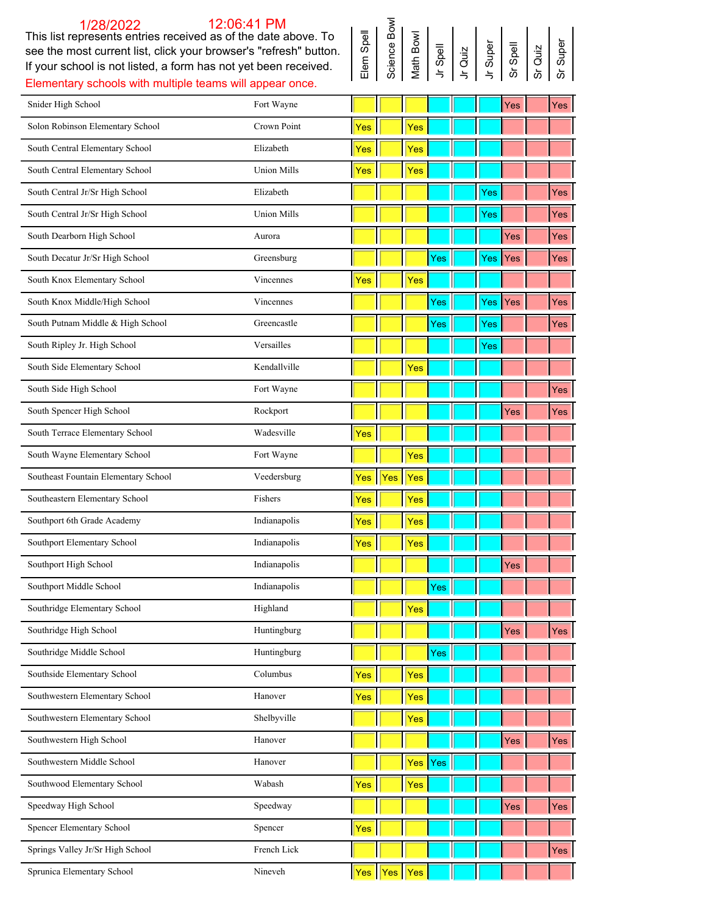| This list represents entries received as of the date above. To<br>see the most current list, click your browser's "refresh" button.<br>If your school is not listed, a form has not yet been received. |                    | Elem Spell | Science Bo | Math Bowl | Spell<br>$\overline{z}$ | Jr Quiz | Jr Super | Spell<br>ທັ | Quiz | Super |
|--------------------------------------------------------------------------------------------------------------------------------------------------------------------------------------------------------|--------------------|------------|------------|-----------|-------------------------|---------|----------|-------------|------|-------|
| Elementary schools with multiple teams will appear once.                                                                                                                                               |                    |            |            |           |                         |         |          |             |      |       |
| Snider High School                                                                                                                                                                                     | Fort Wayne         |            |            |           |                         |         |          | Yes         |      | Yes   |
| Solon Robinson Elementary School                                                                                                                                                                       | Crown Point        | Yes        |            | Yes       |                         |         |          |             |      |       |
| South Central Elementary School                                                                                                                                                                        | Elizabeth          | Yes        |            | Yes       |                         |         |          |             |      |       |
| South Central Elementary School                                                                                                                                                                        | <b>Union Mills</b> | Yes        |            | Yes       |                         |         |          |             |      |       |
| South Central Jr/Sr High School                                                                                                                                                                        | Elizabeth          |            |            |           |                         |         | Yes      |             |      | Yes   |
| South Central Jr/Sr High School                                                                                                                                                                        | <b>Union Mills</b> |            |            |           |                         |         | Yes      |             |      | Yes   |
| South Dearborn High School                                                                                                                                                                             | Aurora             |            |            |           |                         |         |          | Yes         |      | Yes   |
| South Decatur Jr/Sr High School                                                                                                                                                                        | Greensburg         |            |            |           | Yes                     |         | Yes      | <b>Yes</b>  |      | Yes   |
| South Knox Elementary School                                                                                                                                                                           | Vincennes          | Yes        |            | Yes       |                         |         |          |             |      |       |
| South Knox Middle/High School                                                                                                                                                                          | Vincennes          |            |            |           | Yes                     |         | Yes      | <b>Yes</b>  |      | Yes   |
| South Putnam Middle & High School                                                                                                                                                                      | Greencastle        |            |            |           | Yes                     |         | Yes      |             |      | Yes   |
| South Ripley Jr. High School                                                                                                                                                                           | Versailles         |            |            |           |                         |         | Yes      |             |      |       |
| South Side Elementary School                                                                                                                                                                           | Kendallville       |            |            | Yes       |                         |         |          |             |      |       |
| South Side High School                                                                                                                                                                                 | Fort Wayne         |            |            |           |                         |         |          |             |      | Yes   |
| South Spencer High School                                                                                                                                                                              | Rockport           |            |            |           |                         |         |          | Yes         |      | Yes   |
| South Terrace Elementary School                                                                                                                                                                        | Wadesville         | Yes        |            |           |                         |         |          |             |      |       |
| South Wayne Elementary School                                                                                                                                                                          | Fort Wayne         |            |            | Yes       |                         |         |          |             |      |       |
| Southeast Fountain Elementary School                                                                                                                                                                   | Veedersburg        | Yes        | Yes        | Yes       |                         |         |          |             |      |       |
| Southeastern Elementary School                                                                                                                                                                         | Fishers            | Yes        |            | Yes       |                         |         |          |             |      |       |
| Southport 6th Grade Academy                                                                                                                                                                            | Indianapolis       | Yes        |            | Yes       |                         |         |          |             |      |       |
| Southport Elementary School                                                                                                                                                                            | Indianapolis       | <b>Yes</b> |            | Yes       |                         |         |          |             |      |       |
| Southport High School                                                                                                                                                                                  | Indianapolis       |            |            |           |                         |         |          | Yes         |      |       |
| Southport Middle School                                                                                                                                                                                | Indianapolis       |            |            |           | Yes                     |         |          |             |      |       |
| Southridge Elementary School                                                                                                                                                                           | Highland           |            |            | Yes       |                         |         |          |             |      |       |
| Southridge High School                                                                                                                                                                                 | Huntingburg        |            |            |           |                         |         |          | Yes         |      | Yes   |
| Southridge Middle School                                                                                                                                                                               | Huntingburg        |            |            |           | Yes                     |         |          |             |      |       |
| Southside Elementary School                                                                                                                                                                            | Columbus           | Yes        |            | Yes       |                         |         |          |             |      |       |
| Southwestern Elementary School                                                                                                                                                                         | Hanover            | Yes        |            | Yes       |                         |         |          |             |      |       |
| Southwestern Elementary School                                                                                                                                                                         | Shelbyville        |            |            | Yes       |                         |         |          |             |      |       |
| Southwestern High School                                                                                                                                                                               | Hanover            |            |            |           |                         |         |          | Yes         |      | Yes   |
| Southwestern Middle School                                                                                                                                                                             | Hanover            |            |            | Yes       | Yes                     |         |          |             |      |       |
| Southwood Elementary School                                                                                                                                                                            | Wabash             | Yes        |            | Yes       |                         |         |          |             |      |       |
| Speedway High School                                                                                                                                                                                   | Speedway           |            |            |           |                         |         |          | Yes         |      | Yes   |
| Spencer Elementary School                                                                                                                                                                              | Spencer            | <b>Yes</b> |            |           |                         |         |          |             |      |       |
| Springs Valley Jr/Sr High School                                                                                                                                                                       | French Lick        |            |            |           |                         |         |          |             |      | Yes   |
| Sprunica Elementary School                                                                                                                                                                             | Nineveh            | Yes        | Yes        | Yes       |                         |         |          |             |      |       |

## Science Bowl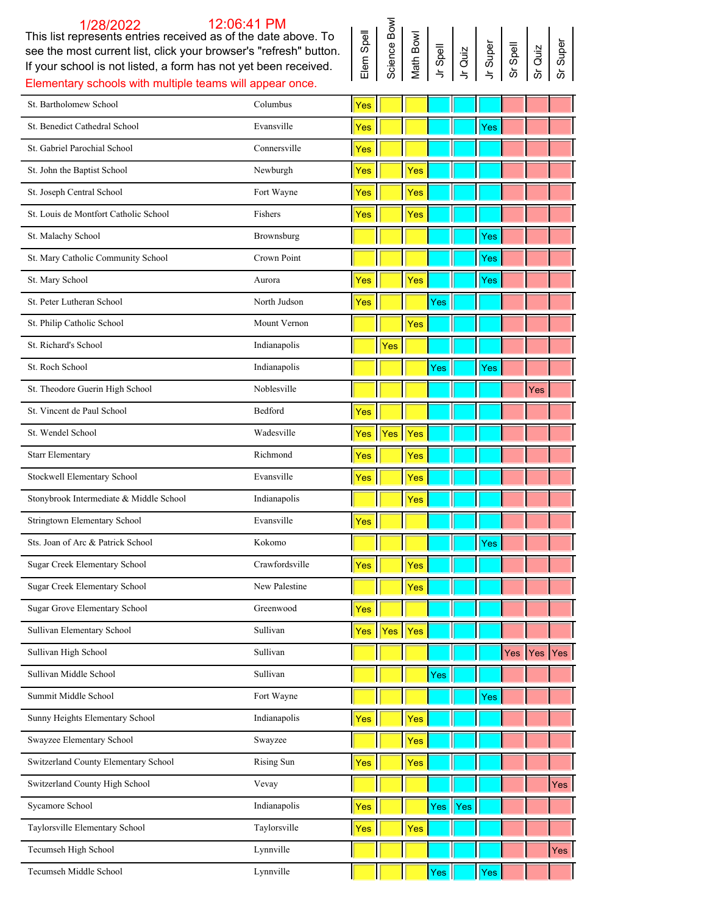### see the most current list, click your browser's "refresh" button. If your school is not listed, a form has not yet been received. Elementary schools with multiple teams will appear once. Jr Quiz St. Bartholomew School Columbus Columbus Ves St. Benedict Cathedral School Evansville Evansville Ves Yes St. Gabriel Parochial School Connersville Ves St. John the Baptist School Newburgh Newburgh Yes Yes Yes St. Joseph Central School Fort Wayne  $\begin{array}{c|c} \hline \text{Yes} & \text{Yes} \end{array}$  Yes St. Louis de Montfort Catholic School Fishers Fishers Fishers Ves Yes Yes St. Malachy School **Brownsburg** Associates According to the Brownsburg According to the United States of the Ves St. Mary Catholic Community School Crown Point Yes St. Mary School **Aurora** Aurora **Yes Yes Yes Yes Yes Yes Yes** Yes Yes Yes Yes Yes St. Peter Lutheran School North Judson North Judson Ves Yes Yes St. Philip Catholic School Mount Vernon **Nount Vernon** St. Richard's School **Indianapolis** Indianapolis **Ves** St. Roch School **Indianapolis** And Indianapolis **Contains The School Ves Yes Yes And I** St. Theodore Guerin High School Noblesville Noblesville Ves St. Vincent de Paul School Bedford Bedford Pes St. Wendel School Wadesville Wadesville **Yes Yes Yes** Starr Elementary **Richmond Primerical Primerical Primerical Primerical Primerical Primerical Primerical Primerical Primerical Primerical Primerical Primerical Primerical Primerical Primerical Primerical Primerical Primer** Stockwell Elementary School **Example 20** Evansville Ves Yes Yes Stonybrook Intermediate & Middle School Indianapolis || || || Yes Stringtown Elementary School Evansville Evansville Sts. Joan of Arc & Patrick School **Xokomo** Kokomo **Yes** Sugar Creek Elementary School Crawfordsville Ves Yes Yes Sugar Creek Elementary School New Palestine New Palestine Ves Sugar Grove Elementary School Greenwood **Yes** Sullivan Elementary School Sullivan Sullivan Yes Yes Yes Sullivan High School Sullivan Sullivan Vester Sullivan Vester Sullivan Vester Sullivan Vester Sullivan Vester S Sullivan Middle School Sullivan Sullivan Niddle School Sullivan Sullivan Ves Summit Middle School **Fort Wayne**  $\begin{array}{c|c|c|c|c} \hline \end{array}$   $\begin{array}{c|c|c} \hline \end{array}$   $\begin{array}{c|c|c} \hline \end{array}$   $\begin{array}{c|c|c} \hline \end{array}$   $\begin{array}{c|c|c} \hline \end{array}$   $\begin{array}{c|c|c} \hline \end{array}$   $\begin{array}{c|c} \hline \end{array}$   $\begin{array}{c|c} \hline \end{array}$   $\begin{array}{c|c} \h$ Sunny Heights Elementary School Microsoft Indianapolis Ves Yes Yes Swayzee Elementary School Swayzee Yes Switzerland County Elementary School Rising Sun Rising Sun **Yes** Yes Switzerland County High School Vevay Vevay Vevay Vevay Vermin (Vermin Vermin Vermin Vermin Vermin Vermin Vermin Vermin Vermin Vermin Vermin Vermin Vermin Vermin Vermin Vermin Vermin Vermin Vermin Vermin Vermin Vermin Vermi Sycamore School **Indianapolis** Indianapolis **Yes Yes Yes** Taylorsville Elementary School Taylorsville Taylorsville Ves Yes

Tecumseh High School **Lynnville** Lynnville **Vester (Communist)** Vester (Vester Versich Australian Lynnville Vester (Vester Versich Australian Lynnville Vester (Vester Versich Australian Lynnville Vester Versich Australian

This list represents entries received as of the date above. To

1/28/2022 12:06:41 PM

### Science Bowl Science Bowl Elem Spell Math Bowl **Super** Jr Spell Jr Super Sr Spell Quiz

Tecumseh Middle School **Lynnville** Lynnville **Ves Yes Yes** Yes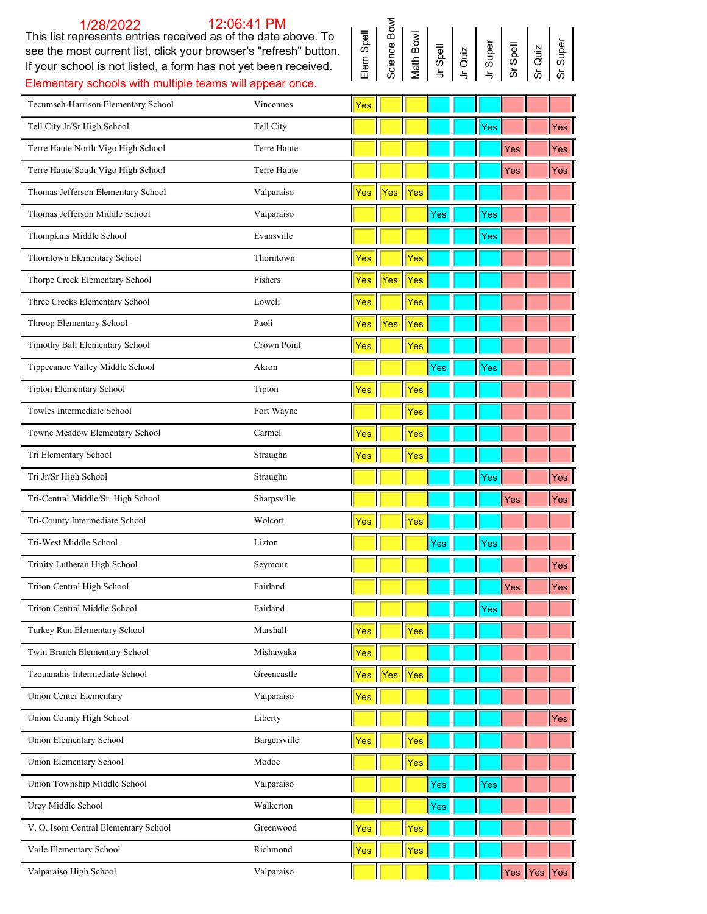| Science Bowl<br>Elem Spell<br>This list represents entries received as of the date above. To<br>Vlath Bowl<br>Jr Super<br>Sr Spell<br>Jr Spell<br>Quiz<br>Jr Quiz<br>see the most current list, click your browser's "refresh" button.<br>If your school is not listed, a form has not yet been received.<br>Elementary schools with multiple teams will appear once.<br>Tecumseh-Harrison Elementary School<br>Vincennes<br>Yes<br>Tell City Jr/Sr High School<br>Tell City<br>Yes<br>Terre Haute North Vigo High School<br>Terre Haute<br>Yes<br>Terre Haute South Vigo High School<br>Terre Haute<br>Yes<br>Thomas Jefferson Elementary School<br>Valparaiso<br>Yes<br><b>Yes</b><br>Yes<br>Thomas Jefferson Middle School<br>Valparaiso<br>Yes<br>Yes<br>Evansville<br>Thompkins Middle School<br>Yes<br>Thorntown Elementary School<br>Thorntown<br>Yes<br>Yes<br>Thorpe Creek Elementary School<br>Fishers<br>Yes<br>Yes<br>Yes<br>Three Creeks Elementary School<br>Lowell<br>Yes<br>Yes<br>Paoli<br>Throop Elementary School<br>$ $ Yes<br><b>Yes</b><br><b>Yes</b><br>Crown Point<br>Timothy Ball Elementary School<br>Yes<br>Yes<br>Tippecanoe Valley Middle School<br>Akron<br>Yes<br>Yes<br>Tipton Elementary School<br>Tipton<br>Yes<br>Yes<br>Towles Intermediate School<br>Fort Wayne<br>Yes<br>Towne Meadow Elementary School<br>Carmel<br>Yes<br>Yes<br>Tri Elementary School<br>Straughn<br>Yes<br>Yes<br>Tri Jr/Sr High School<br>Straughn<br>Yes | Super<br>Yes<br>Yes<br>Yes |
|----------------------------------------------------------------------------------------------------------------------------------------------------------------------------------------------------------------------------------------------------------------------------------------------------------------------------------------------------------------------------------------------------------------------------------------------------------------------------------------------------------------------------------------------------------------------------------------------------------------------------------------------------------------------------------------------------------------------------------------------------------------------------------------------------------------------------------------------------------------------------------------------------------------------------------------------------------------------------------------------------------------------------------------------------------------------------------------------------------------------------------------------------------------------------------------------------------------------------------------------------------------------------------------------------------------------------------------------------------------------------------------------------------------------------------------------------------------------|----------------------------|
|                                                                                                                                                                                                                                                                                                                                                                                                                                                                                                                                                                                                                                                                                                                                                                                                                                                                                                                                                                                                                                                                                                                                                                                                                                                                                                                                                                                                                                                                      |                            |
|                                                                                                                                                                                                                                                                                                                                                                                                                                                                                                                                                                                                                                                                                                                                                                                                                                                                                                                                                                                                                                                                                                                                                                                                                                                                                                                                                                                                                                                                      |                            |
|                                                                                                                                                                                                                                                                                                                                                                                                                                                                                                                                                                                                                                                                                                                                                                                                                                                                                                                                                                                                                                                                                                                                                                                                                                                                                                                                                                                                                                                                      |                            |
|                                                                                                                                                                                                                                                                                                                                                                                                                                                                                                                                                                                                                                                                                                                                                                                                                                                                                                                                                                                                                                                                                                                                                                                                                                                                                                                                                                                                                                                                      |                            |
|                                                                                                                                                                                                                                                                                                                                                                                                                                                                                                                                                                                                                                                                                                                                                                                                                                                                                                                                                                                                                                                                                                                                                                                                                                                                                                                                                                                                                                                                      |                            |
|                                                                                                                                                                                                                                                                                                                                                                                                                                                                                                                                                                                                                                                                                                                                                                                                                                                                                                                                                                                                                                                                                                                                                                                                                                                                                                                                                                                                                                                                      |                            |
|                                                                                                                                                                                                                                                                                                                                                                                                                                                                                                                                                                                                                                                                                                                                                                                                                                                                                                                                                                                                                                                                                                                                                                                                                                                                                                                                                                                                                                                                      |                            |
|                                                                                                                                                                                                                                                                                                                                                                                                                                                                                                                                                                                                                                                                                                                                                                                                                                                                                                                                                                                                                                                                                                                                                                                                                                                                                                                                                                                                                                                                      |                            |
|                                                                                                                                                                                                                                                                                                                                                                                                                                                                                                                                                                                                                                                                                                                                                                                                                                                                                                                                                                                                                                                                                                                                                                                                                                                                                                                                                                                                                                                                      |                            |
|                                                                                                                                                                                                                                                                                                                                                                                                                                                                                                                                                                                                                                                                                                                                                                                                                                                                                                                                                                                                                                                                                                                                                                                                                                                                                                                                                                                                                                                                      |                            |
|                                                                                                                                                                                                                                                                                                                                                                                                                                                                                                                                                                                                                                                                                                                                                                                                                                                                                                                                                                                                                                                                                                                                                                                                                                                                                                                                                                                                                                                                      |                            |
|                                                                                                                                                                                                                                                                                                                                                                                                                                                                                                                                                                                                                                                                                                                                                                                                                                                                                                                                                                                                                                                                                                                                                                                                                                                                                                                                                                                                                                                                      |                            |
|                                                                                                                                                                                                                                                                                                                                                                                                                                                                                                                                                                                                                                                                                                                                                                                                                                                                                                                                                                                                                                                                                                                                                                                                                                                                                                                                                                                                                                                                      |                            |
|                                                                                                                                                                                                                                                                                                                                                                                                                                                                                                                                                                                                                                                                                                                                                                                                                                                                                                                                                                                                                                                                                                                                                                                                                                                                                                                                                                                                                                                                      |                            |
|                                                                                                                                                                                                                                                                                                                                                                                                                                                                                                                                                                                                                                                                                                                                                                                                                                                                                                                                                                                                                                                                                                                                                                                                                                                                                                                                                                                                                                                                      |                            |
|                                                                                                                                                                                                                                                                                                                                                                                                                                                                                                                                                                                                                                                                                                                                                                                                                                                                                                                                                                                                                                                                                                                                                                                                                                                                                                                                                                                                                                                                      |                            |
|                                                                                                                                                                                                                                                                                                                                                                                                                                                                                                                                                                                                                                                                                                                                                                                                                                                                                                                                                                                                                                                                                                                                                                                                                                                                                                                                                                                                                                                                      |                            |
|                                                                                                                                                                                                                                                                                                                                                                                                                                                                                                                                                                                                                                                                                                                                                                                                                                                                                                                                                                                                                                                                                                                                                                                                                                                                                                                                                                                                                                                                      |                            |
|                                                                                                                                                                                                                                                                                                                                                                                                                                                                                                                                                                                                                                                                                                                                                                                                                                                                                                                                                                                                                                                                                                                                                                                                                                                                                                                                                                                                                                                                      |                            |
|                                                                                                                                                                                                                                                                                                                                                                                                                                                                                                                                                                                                                                                                                                                                                                                                                                                                                                                                                                                                                                                                                                                                                                                                                                                                                                                                                                                                                                                                      |                            |
|                                                                                                                                                                                                                                                                                                                                                                                                                                                                                                                                                                                                                                                                                                                                                                                                                                                                                                                                                                                                                                                                                                                                                                                                                                                                                                                                                                                                                                                                      | Yes                        |
| Sharpsville<br>Tri-Central Middle/Sr. High School<br>Yes                                                                                                                                                                                                                                                                                                                                                                                                                                                                                                                                                                                                                                                                                                                                                                                                                                                                                                                                                                                                                                                                                                                                                                                                                                                                                                                                                                                                             | Yes                        |
| Wolcott<br>Tri-County Intermediate School<br>Yes<br>Yes                                                                                                                                                                                                                                                                                                                                                                                                                                                                                                                                                                                                                                                                                                                                                                                                                                                                                                                                                                                                                                                                                                                                                                                                                                                                                                                                                                                                              |                            |
| Tri-West Middle School<br>Lizton<br>Yes<br> Yes                                                                                                                                                                                                                                                                                                                                                                                                                                                                                                                                                                                                                                                                                                                                                                                                                                                                                                                                                                                                                                                                                                                                                                                                                                                                                                                                                                                                                      |                            |
| Trinity Lutheran High School<br>Seymour                                                                                                                                                                                                                                                                                                                                                                                                                                                                                                                                                                                                                                                                                                                                                                                                                                                                                                                                                                                                                                                                                                                                                                                                                                                                                                                                                                                                                              | Yes                        |
| Triton Central High School<br>Fairland<br>Yes                                                                                                                                                                                                                                                                                                                                                                                                                                                                                                                                                                                                                                                                                                                                                                                                                                                                                                                                                                                                                                                                                                                                                                                                                                                                                                                                                                                                                        | Yes                        |
| Triton Central Middle School<br>Fairland<br>Yes                                                                                                                                                                                                                                                                                                                                                                                                                                                                                                                                                                                                                                                                                                                                                                                                                                                                                                                                                                                                                                                                                                                                                                                                                                                                                                                                                                                                                      |                            |
| Turkey Run Elementary School<br>Marshall<br>Yes<br>Yes                                                                                                                                                                                                                                                                                                                                                                                                                                                                                                                                                                                                                                                                                                                                                                                                                                                                                                                                                                                                                                                                                                                                                                                                                                                                                                                                                                                                               |                            |
| Mishawaka<br>Twin Branch Elementary School<br>Yes                                                                                                                                                                                                                                                                                                                                                                                                                                                                                                                                                                                                                                                                                                                                                                                                                                                                                                                                                                                                                                                                                                                                                                                                                                                                                                                                                                                                                    |                            |
| Tzouanakis Intermediate School<br>Greencastle<br>Yes<br>Yes<br>Yes                                                                                                                                                                                                                                                                                                                                                                                                                                                                                                                                                                                                                                                                                                                                                                                                                                                                                                                                                                                                                                                                                                                                                                                                                                                                                                                                                                                                   |                            |
| Union Center Elementary<br>Valparaiso<br>Yes                                                                                                                                                                                                                                                                                                                                                                                                                                                                                                                                                                                                                                                                                                                                                                                                                                                                                                                                                                                                                                                                                                                                                                                                                                                                                                                                                                                                                         |                            |
| Union County High School<br>Liberty                                                                                                                                                                                                                                                                                                                                                                                                                                                                                                                                                                                                                                                                                                                                                                                                                                                                                                                                                                                                                                                                                                                                                                                                                                                                                                                                                                                                                                  | Yes                        |
| Union Elementary School<br>Bargersville<br>Yes<br>Yes                                                                                                                                                                                                                                                                                                                                                                                                                                                                                                                                                                                                                                                                                                                                                                                                                                                                                                                                                                                                                                                                                                                                                                                                                                                                                                                                                                                                                |                            |
| Union Elementary School<br>Modoc<br>Yes                                                                                                                                                                                                                                                                                                                                                                                                                                                                                                                                                                                                                                                                                                                                                                                                                                                                                                                                                                                                                                                                                                                                                                                                                                                                                                                                                                                                                              |                            |
| Union Township Middle School<br>Valparaiso<br>Yes<br>Yes                                                                                                                                                                                                                                                                                                                                                                                                                                                                                                                                                                                                                                                                                                                                                                                                                                                                                                                                                                                                                                                                                                                                                                                                                                                                                                                                                                                                             |                            |
| Walkerton<br>Urey Middle School<br>Yes                                                                                                                                                                                                                                                                                                                                                                                                                                                                                                                                                                                                                                                                                                                                                                                                                                                                                                                                                                                                                                                                                                                                                                                                                                                                                                                                                                                                                               |                            |
| V. O. Isom Central Elementary School<br>Greenwood<br>Yes<br>Yes                                                                                                                                                                                                                                                                                                                                                                                                                                                                                                                                                                                                                                                                                                                                                                                                                                                                                                                                                                                                                                                                                                                                                                                                                                                                                                                                                                                                      |                            |
| Vaile Elementary School<br>Richmond<br>Yes<br>Yes                                                                                                                                                                                                                                                                                                                                                                                                                                                                                                                                                                                                                                                                                                                                                                                                                                                                                                                                                                                                                                                                                                                                                                                                                                                                                                                                                                                                                    |                            |
| Valparaiso High School<br>Valparaiso<br>Yes Yes Yes                                                                                                                                                                                                                                                                                                                                                                                                                                                                                                                                                                                                                                                                                                                                                                                                                                                                                                                                                                                                                                                                                                                                                                                                                                                                                                                                                                                                                  |                            |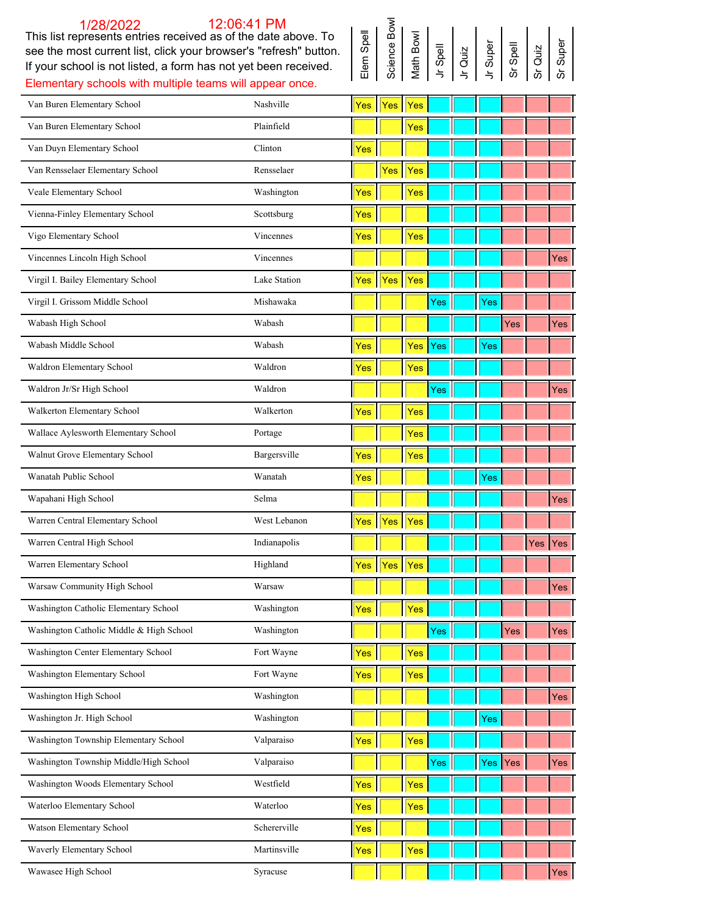### Elem Spell Science Bowl Math Bowl Jr Spell Jr Super Sr Spell Sr Quiz This list represents entries received as of the date above. To see the most current list, click your browser's "refresh" button. If your school is not listed, a form has not yet been received. 1/28/2022 12:06:41 PM Elementary schools with multiple teams will appear once. Jr Quiz Van Buren Elementary School Nashville Nashville **Yes** Yes Yes Van Buren Elementary School Plainfield Plainfield **Yes** Van Duyn Elementary School Clinton Clinton Ves Van Rensselaer Elementary School **Rensselaer** Rensselaer **Yes** Yes Veale Elementary School **Washington** Washington **Yes Yes** Vienna-Finley Elementary School Scottsburg Scottsburg Ves Vigo Elementary School Vincennes Vincennes Vestillary School Vincennes Vincennes Vestillary School Vestillary School Vincennes Vincennes Vestillary Vestillary School Vincennes Vincennes Vestillary Vestillary Vestillary Ves Vincennes Lincoln High School Vincennes Vincennes **Vincennes Vincennes Vincennes Vincennes Vincennes Vincennes Vincennes Vincennes Vincennes Vincennes Vincennes Vincennes Vincennes Vincennes Vin** Virgil I. Bailey Elementary School Lake Station Ves Yes Yes Yes Virgil I. Grissom Middle School Mishawaka Yes Yes Wabash High School Wabash Yes Yes Wabash Middle School Wabash Yes Yes Yes Yes Waldron Elementary School Waldron Waldron Vesting Vesting Vesting Vesting Vesting Vesting Vesting Vesting Vesting Vesting Vesting Vesting Vesting Vesting Vesting Vesting Vesting Vesting Vesting Vesting Vesting Vesting Vest Waldron Jr/Sr High School **Waldron Waldron** Waldron **Yes Yes You Waldron Waldron** Yes Yes Walkerton Elementary School Walkerton Walkerton Vester Vester Vester Vester Vester Vester Vester Vester Vester Wallace Aylesworth Elementary School Portage Provide Portage Ves Walnut Grove Elementary School Bargersville Bargersville Ves Yes Wanatah Public School **Wanatah** Wanatah **Yes Yes Yes Yes Yes Yes Yes** Yes Wapahani High School Selma Yess Selma Yess **Yess** Selma Yess Selma Yess Number 1, 1986 Warren Central Elementary School West Lebanon Vest Ves Yes Yes Warren Central High School **Indianapolis** Indianapolis **Vesters** Vesters Vesters Vesters Version of the United School and The Vesters Vesters of the United School and The Vesters of the United School and The United School Warren Elementary School **Warren Elementary School Highland Highland Yes** Yes Warsaw Community High School Warsaw **Warsaw New York New York Warsaw New York New York New York New York New York New York New York New York New York New York New York New York New York New York New York New York New York** Washington Catholic Elementary School Washington Washington Yes Yes Washington Catholic Middle & High School Washington Yes Yes Yes

Washington Center Elementary School Fort Wayne Fort Wayne  $Y$ es Yes Washington Elementary School Fort Wayne Yes Yes Yes

Washington Township Elementary School Valparaiso Valparaiso **Yes** Yes

Washington Woods Elementary School Westfield Ves Vestfield Ves Waterloo Elementary School Waterloo Waterloo Version Version Version Version Version Version Version Version Version Version Version Version Version Version Version Version Version Version Version Version Version Version V

Waverly Elementary School Martinsville Martinsville Ness

Watson Elementary School Schererville Schererville Ves

Washington High School Washington **Washington Washington Washington Washington Washington** 

Washington Township Middle/High School Valparaiso Valparaiso **Yes** Yes Yes Yes Yes Yes

Washington Jr. High School **Washington** Washington **Washington**  $\begin{array}{c|c|c|c|c} \hline \multicolumn{1}{c|c|c} \multicolumn{1}{c|c} \multicolumn{1}{c|c} \multicolumn{1}{c|c} \multicolumn{1}{c|c} \multicolumn{1}{c|c} \multicolumn{1}{c|c} \multicolumn{1}{c|c} \multicolumn{1}{c|c} \multicolumn{1}{c|c} \multicolumn{1}{c|c} \multicolumn{1}{c|c} \multicolumn{$ 

| Wawasee<br>H <sub>19</sub> h<br>School | svracuse |  |  |  |  |  |  |  |  |  |
|----------------------------------------|----------|--|--|--|--|--|--|--|--|--|
|----------------------------------------|----------|--|--|--|--|--|--|--|--|--|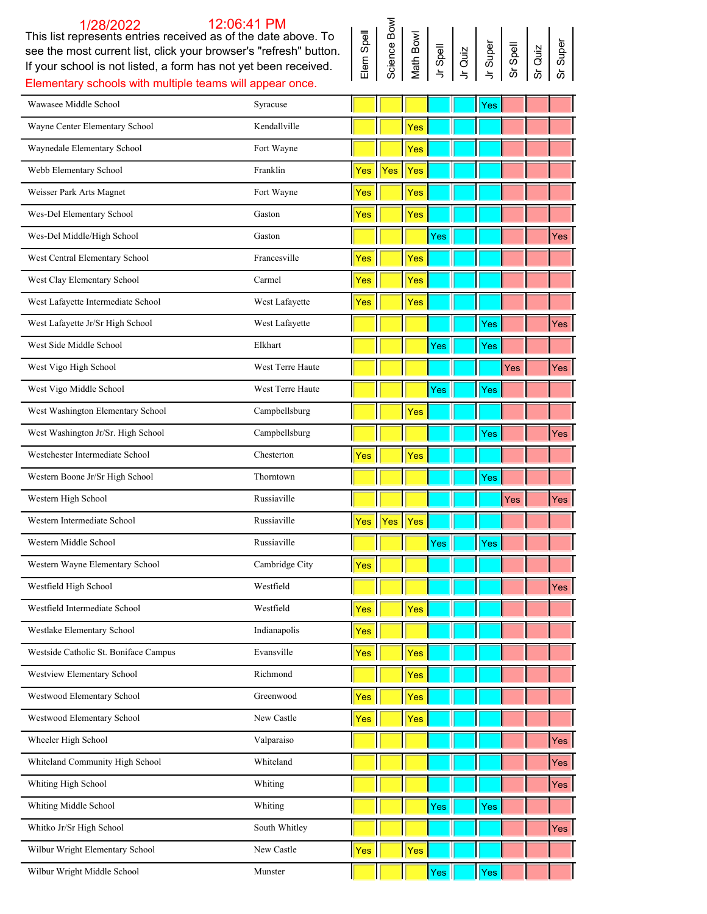### This list represents entries received as of the date above. To see the most current list, click your browser's "refresh" button. 1/28/2022 12:06:41 PM

If your school is not listed, a form has not yet been received. Elementary schools with multiple teams will appear once.

| $\begin{tabular}{ c c c c } \hline \text{Item Spell} & \text{Spines} \\ \hline \text{Science } \text{Bow} & \text{Bow} \\ \hline \text{Science } \text{Bow} & \text{Bow} \\ \hline \text{Math } \text{Bow} & \text{Bow} \\ \hline \text{In Gauge} & \text{Bow} \\ \hline \text{In Gauge} & \text{Bow} \\ \hline \text{In Gauge} & \text{Bow} \\ \hline \text{In Gauge} & \text{Bow} \\ \hline \text{In Gauge} & \text{Bow} \\ \hline \text{In Gauge} & \text{Bow} \\ \hline \text{In Gauge} & \$ |
|--------------------------------------------------------------------------------------------------------------------------------------------------------------------------------------------------------------------------------------------------------------------------------------------------------------------------------------------------------------------------------------------------------------------------------------------------------------------------------------------------|
|--------------------------------------------------------------------------------------------------------------------------------------------------------------------------------------------------------------------------------------------------------------------------------------------------------------------------------------------------------------------------------------------------------------------------------------------------------------------------------------------------|

| Wawasee Middle School                 | Syracuse         |            |     |            |     | Yes |     |     |
|---------------------------------------|------------------|------------|-----|------------|-----|-----|-----|-----|
| Wayne Center Elementary School        | Kendallville     |            |     | Yes        |     |     |     |     |
| Waynedale Elementary School           | Fort Wayne       |            |     | Yes        |     |     |     |     |
| Webb Elementary School                | Franklin         | Yes        | Yes | <b>Yes</b> |     |     |     |     |
| Weisser Park Arts Magnet              | Fort Wayne       | Yes        |     | Yes        |     |     |     |     |
| Wes-Del Elementary School             | Gaston           | Yes        |     | Yes        |     |     |     |     |
| Wes-Del Middle/High School            | Gaston           |            |     |            | Yes |     |     | Yes |
| West Central Elementary School        | Francesville     | Yes        |     | Yes        |     |     |     |     |
| West Clay Elementary School           | Carmel           | Yes        |     | Yes        |     |     |     |     |
| West Lafayette Intermediate School    | West Lafayette   | Yes        |     | Yes        |     |     |     |     |
| West Lafayette Jr/Sr High School      | West Lafayette   |            |     |            |     | Yes |     | Yes |
| West Side Middle School               | Elkhart          |            |     |            | Yes | Yes |     |     |
| West Vigo High School                 | West Terre Haute |            |     |            |     |     | Yes | Yes |
| West Vigo Middle School               | West Terre Haute |            |     |            | Yes | Yes |     |     |
| West Washington Elementary School     | Campbellsburg    |            |     | Yes        |     |     |     |     |
| West Washington Jr/Sr. High School    | Campbellsburg    |            |     |            |     | Yes |     | Yes |
| Westchester Intermediate School       | Chesterton       | Yes        |     | Yes        |     |     |     |     |
| Western Boone Jr/Sr High School       | Thorntown        |            |     |            |     | Yes |     |     |
| Western High School                   | Russiaville      |            |     |            |     |     | Yes | Yes |
| Western Intermediate School           | Russiaville      | <b>Yes</b> | Yes | Yes        |     |     |     |     |
| Western Middle School                 | Russiaville      |            |     |            | Yes | Yes |     |     |
| Western Wayne Elementary School       | Cambridge City   | Yes        |     |            |     |     |     |     |
| Westfield High School                 | Westfield        |            |     |            |     |     |     | Yes |
| Westfield Intermediate School         | Westfield        | <b>Yes</b> |     | Yes        |     |     |     |     |
| Westlake Elementary School            | Indianapolis     | Yes        |     |            |     |     |     |     |
| Westside Catholic St. Boniface Campus | Evansville       | Yes        |     | Yes        |     |     |     |     |
| Westview Elementary School            | Richmond         |            |     | Yes        |     |     |     |     |
| Westwood Elementary School            | Greenwood        | Yes        |     | Yes        |     |     |     |     |
| Westwood Elementary School            | New Castle       | Yes        |     | Yes        |     |     |     |     |
| Wheeler High School                   | Valparaiso       |            |     |            |     |     |     | Yes |
| Whiteland Community High School       | Whiteland        |            |     |            |     |     |     | Yes |
| Whiting High School                   | Whiting          |            |     |            |     |     |     | Yes |
| Whiting Middle School                 |                  |            |     |            | Yes | Yes |     |     |
|                                       | Whiting          |            |     |            |     |     |     |     |
| Whitko Jr/Sr High School              | South Whitley    |            |     |            |     |     |     | Yes |
| Wilbur Wright Elementary School       | New Castle       | Yes        |     | Yes        |     |     |     |     |